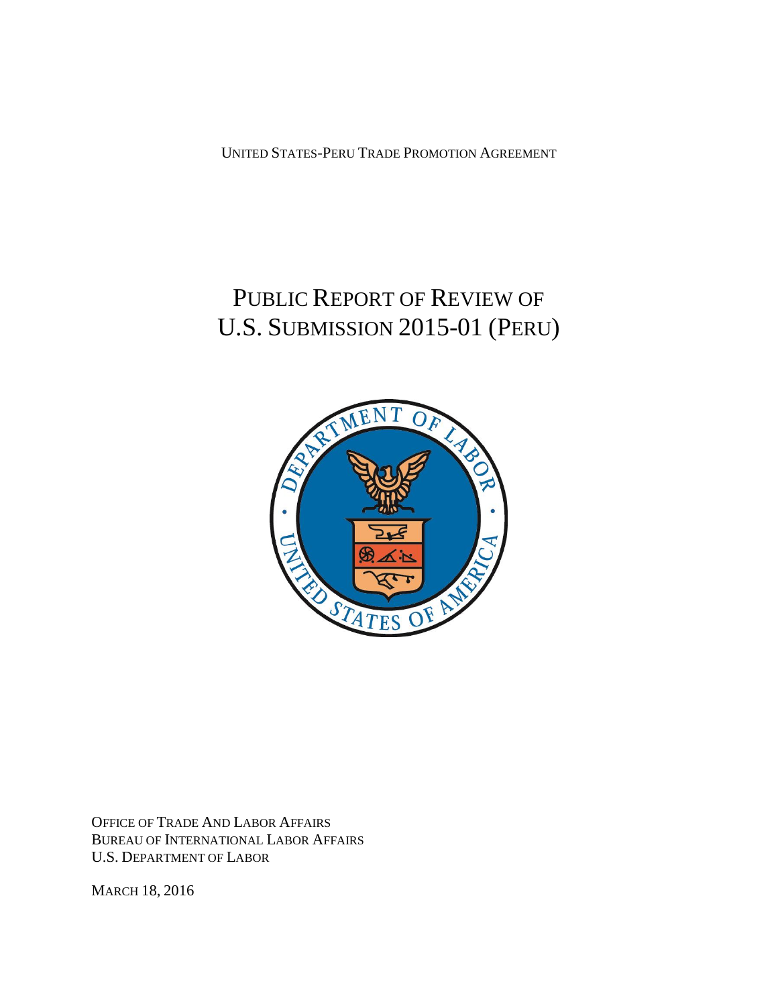UNITED STATES-PERU TRADE PROMOTION AGREEMENT

# PUBLIC REPORT OF REVIEW OF U.S. SUBMISSION 2015-01 (PERU)



OFFICE OF TRADE AND LABOR AFFAIRS BUREAU OF INTERNATIONAL LABOR AFFAIRS U.S. DEPARTMENT OF LABOR

MARCH 18, 2016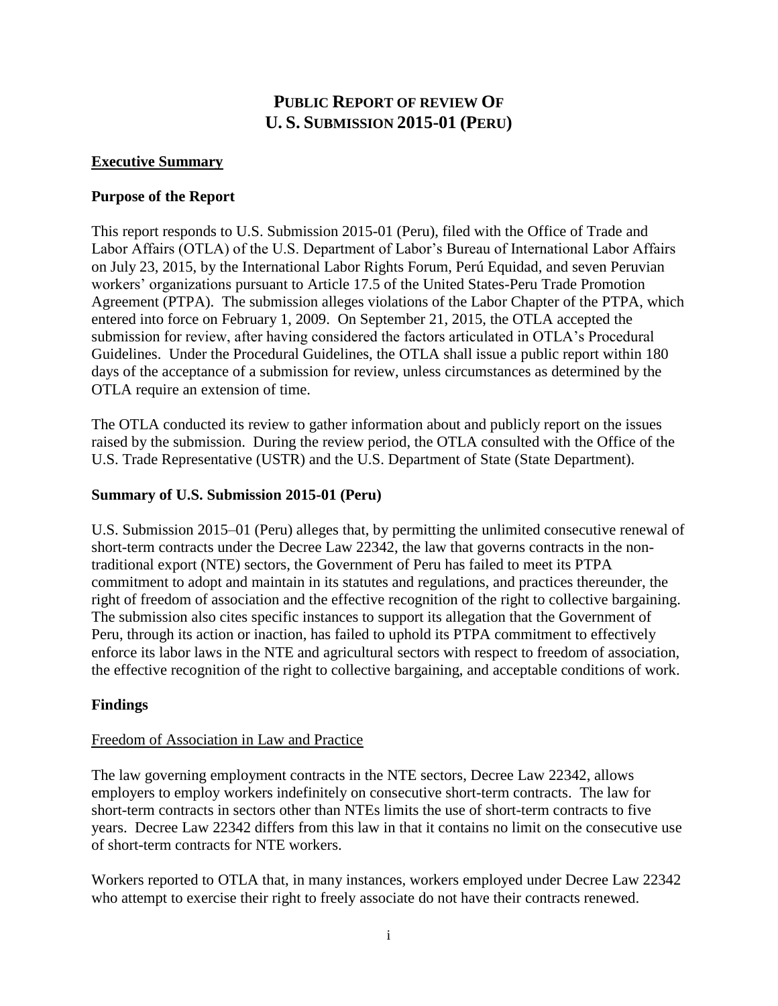# **PUBLIC REPORT OF REVIEW OF U. S. SUBMISSION 2015-01 (PERU)**

## <span id="page-1-0"></span>**Executive Summary**

### **Purpose of the Report**

This report responds to U.S. Submission 2015-01 (Peru), filed with the Office of Trade and Labor Affairs (OTLA) of the U.S. Department of Labor's Bureau of International Labor Affairs on July 23, 2015, by the International Labor Rights Forum, Perú Equidad, and seven Peruvian workers' organizations pursuant to Article 17.5 of the United States-Peru Trade Promotion Agreement (PTPA). The submission alleges violations of the Labor Chapter of the PTPA, which entered into force on February 1, 2009. On September 21, 2015, the OTLA accepted the submission for review, after having considered the factors articulated in OTLA's Procedural Guidelines. Under the Procedural Guidelines, the OTLA shall issue a public report within 180 days of the acceptance of a submission for review, unless circumstances as determined by the OTLA require an extension of time.

The OTLA conducted its review to gather information about and publicly report on the issues raised by the submission. During the review period, the OTLA consulted with the Office of the U.S. Trade Representative (USTR) and the U.S. Department of State (State Department).

#### **Summary of U.S. Submission 2015-01 (Peru)**

U.S. Submission 2015–01 (Peru) alleges that, by permitting the unlimited consecutive renewal of short-term contracts under the Decree Law 22342, the law that governs contracts in the nontraditional export (NTE) sectors, the Government of Peru has failed to meet its PTPA commitment to adopt and maintain in its statutes and regulations, and practices thereunder, the right of freedom of association and the effective recognition of the right to collective bargaining. The submission also cites specific instances to support its allegation that the Government of Peru, through its action or inaction, has failed to uphold its PTPA commitment to effectively enforce its labor laws in the NTE and agricultural sectors with respect to freedom of association, the effective recognition of the right to collective bargaining, and acceptable conditions of work.

# **Findings**

#### Freedom of Association in Law and Practice

The law governing employment contracts in the NTE sectors, Decree Law 22342, allows employers to employ workers indefinitely on consecutive short-term contracts. The law for short-term contracts in sectors other than NTEs limits the use of short-term contracts to five years. Decree Law 22342 differs from this law in that it contains no limit on the consecutive use of short-term contracts for NTE workers.

Workers reported to OTLA that, in many instances, workers employed under Decree Law 22342 who attempt to exercise their right to freely associate do not have their contracts renewed.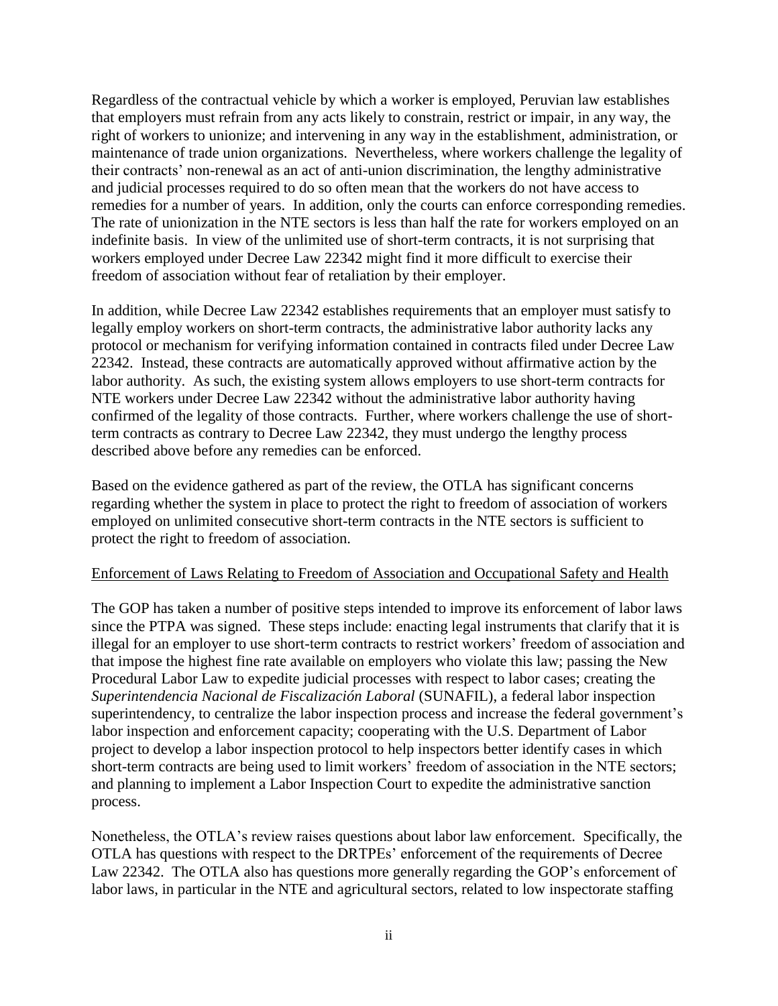Regardless of the contractual vehicle by which a worker is employed, Peruvian law establishes that employers must refrain from any acts likely to constrain, restrict or impair, in any way, the right of workers to unionize; and intervening in any way in the establishment, administration, or maintenance of trade union organizations. Nevertheless, where workers challenge the legality of their contracts' non-renewal as an act of anti-union discrimination, the lengthy administrative and judicial processes required to do so often mean that the workers do not have access to remedies for a number of years. In addition, only the courts can enforce corresponding remedies. The rate of unionization in the NTE sectors is less than half the rate for workers employed on an indefinite basis. In view of the unlimited use of short-term contracts, it is not surprising that workers employed under Decree Law 22342 might find it more difficult to exercise their freedom of association without fear of retaliation by their employer.

In addition, while Decree Law 22342 establishes requirements that an employer must satisfy to legally employ workers on short-term contracts, the administrative labor authority lacks any protocol or mechanism for verifying information contained in contracts filed under Decree Law 22342. Instead, these contracts are automatically approved without affirmative action by the labor authority. As such, the existing system allows employers to use short-term contracts for NTE workers under Decree Law 22342 without the administrative labor authority having confirmed of the legality of those contracts. Further, where workers challenge the use of shortterm contracts as contrary to Decree Law 22342, they must undergo the lengthy process described above before any remedies can be enforced.

Based on the evidence gathered as part of the review, the OTLA has significant concerns regarding whether the system in place to protect the right to freedom of association of workers employed on unlimited consecutive short-term contracts in the NTE sectors is sufficient to protect the right to freedom of association.

#### Enforcement of Laws Relating to Freedom of Association and Occupational Safety and Health

The GOP has taken a number of positive steps intended to improve its enforcement of labor laws since the PTPA was signed. These steps include: enacting legal instruments that clarify that it is illegal for an employer to use short-term contracts to restrict workers' freedom of association and that impose the highest fine rate available on employers who violate this law; passing the New Procedural Labor Law to expedite judicial processes with respect to labor cases; creating the *Superintendencia Nacional de Fiscalización Laboral* (SUNAFIL), a federal labor inspection superintendency, to centralize the labor inspection process and increase the federal government's labor inspection and enforcement capacity; cooperating with the U.S. Department of Labor project to develop a labor inspection protocol to help inspectors better identify cases in which short-term contracts are being used to limit workers' freedom of association in the NTE sectors; and planning to implement a Labor Inspection Court to expedite the administrative sanction process.

Nonetheless, the OTLA's review raises questions about labor law enforcement. Specifically, the OTLA has questions with respect to the DRTPEs' enforcement of the requirements of Decree Law 22342. The OTLA also has questions more generally regarding the GOP's enforcement of labor laws, in particular in the NTE and agricultural sectors, related to low inspectorate staffing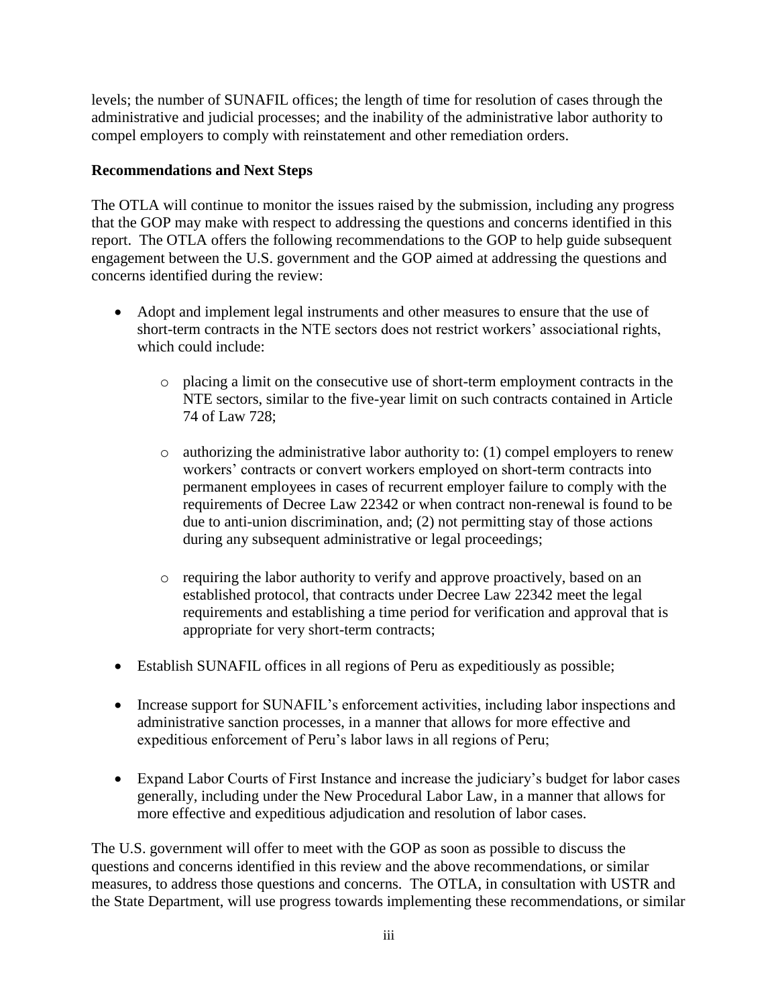levels; the number of SUNAFIL offices; the length of time for resolution of cases through the administrative and judicial processes; and the inability of the administrative labor authority to compel employers to comply with reinstatement and other remediation orders.

## **Recommendations and Next Steps**

The OTLA will continue to monitor the issues raised by the submission, including any progress that the GOP may make with respect to addressing the questions and concerns identified in this report. The OTLA offers the following recommendations to the GOP to help guide subsequent engagement between the U.S. government and the GOP aimed at addressing the questions and concerns identified during the review:

- Adopt and implement legal instruments and other measures to ensure that the use of short-term contracts in the NTE sectors does not restrict workers' associational rights, which could include:
	- o placing a limit on the consecutive use of short-term employment contracts in the NTE sectors, similar to the five-year limit on such contracts contained in Article 74 of Law 728;
	- $\circ$  authorizing the administrative labor authority to: (1) compel employers to renew workers' contracts or convert workers employed on short-term contracts into permanent employees in cases of recurrent employer failure to comply with the requirements of Decree Law 22342 or when contract non-renewal is found to be due to anti-union discrimination, and; (2) not permitting stay of those actions during any subsequent administrative or legal proceedings;
	- o requiring the labor authority to verify and approve proactively, based on an established protocol, that contracts under Decree Law 22342 meet the legal requirements and establishing a time period for verification and approval that is appropriate for very short-term contracts;
- Establish SUNAFIL offices in all regions of Peru as expeditiously as possible;
- Increase support for SUNAFIL's enforcement activities, including labor inspections and administrative sanction processes, in a manner that allows for more effective and expeditious enforcement of Peru's labor laws in all regions of Peru;
- Expand Labor Courts of First Instance and increase the judiciary's budget for labor cases generally, including under the New Procedural Labor Law, in a manner that allows for more effective and expeditious adjudication and resolution of labor cases.

The U.S. government will offer to meet with the GOP as soon as possible to discuss the questions and concerns identified in this review and the above recommendations, or similar measures, to address those questions and concerns. The OTLA, in consultation with USTR and the State Department, will use progress towards implementing these recommendations, or similar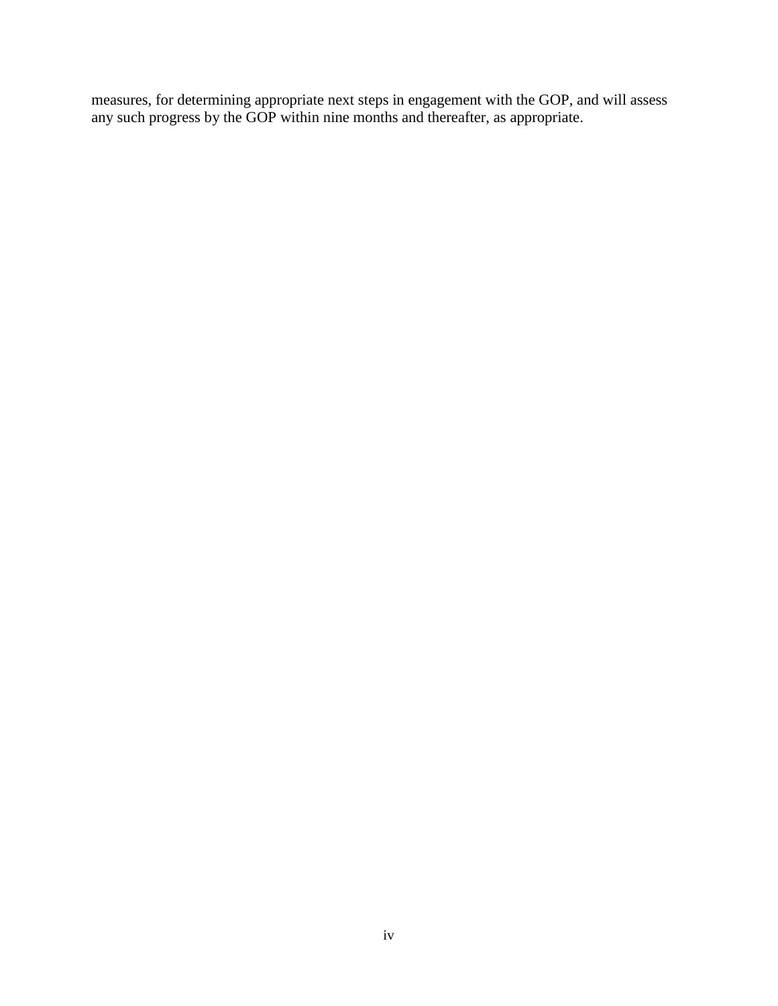measures, for determining appropriate next steps in engagement with the GOP, and will assess any such progress by the GOP within nine months and thereafter, as appropriate.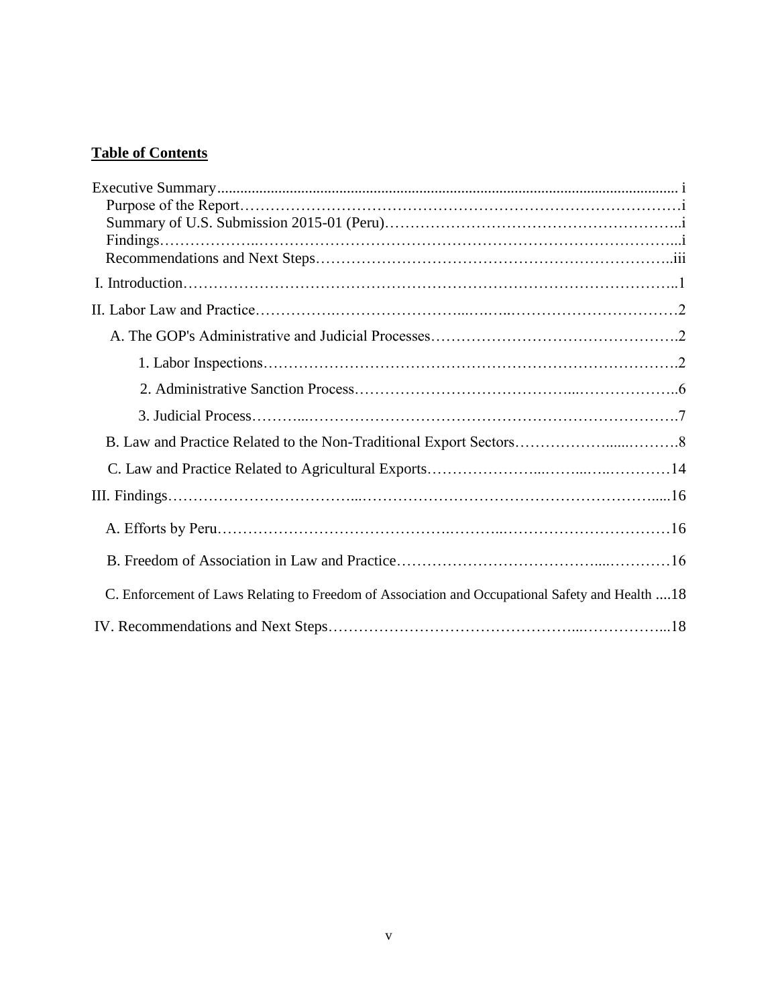# **Table of Contents**

| C. Enforcement of Laws Relating to Freedom of Association and Occupational Safety and Health  18 |  |
|--------------------------------------------------------------------------------------------------|--|
|                                                                                                  |  |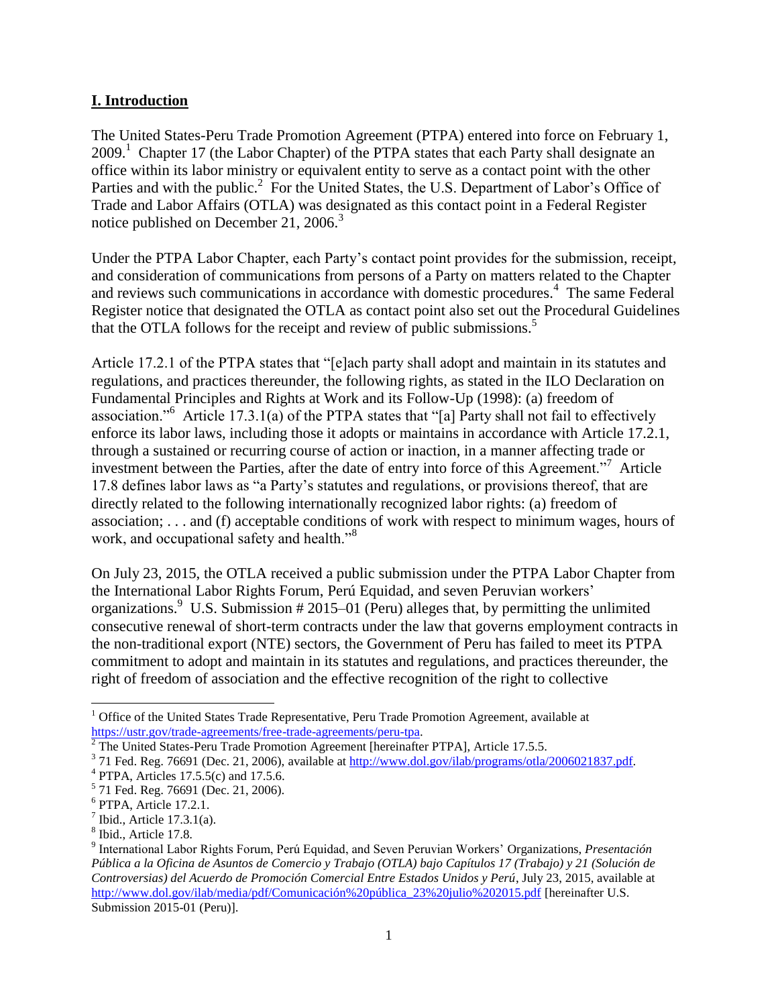## **I. Introduction**

The United States-Peru Trade Promotion Agreement (PTPA) entered into force on February 1, 2009.<sup>1</sup> Chapter 17 (the Labor Chapter) of the PTPA states that each Party shall designate an office within its labor ministry or equivalent entity to serve as a contact point with the other Parties and with the public.<sup>2</sup> For the United States, the U.S. Department of Labor's Office of Trade and Labor Affairs (OTLA) was designated as this contact point in a Federal Register notice published on December 21,  $2006<sup>3</sup>$ 

Under the PTPA Labor Chapter, each Party's contact point provides for the submission, receipt, and consideration of communications from persons of a Party on matters related to the Chapter and reviews such communications in accordance with domestic procedures.<sup>4</sup> The same Federal Register notice that designated the OTLA as contact point also set out the Procedural Guidelines that the OTLA follows for the receipt and review of public submissions.<sup>5</sup>

Article 17.2.1 of the PTPA states that "[e]ach party shall adopt and maintain in its statutes and regulations, and practices thereunder, the following rights, as stated in the ILO Declaration on Fundamental Principles and Rights at Work and its Follow-Up (1998): (a) freedom of association."<sup>6</sup> Article 17.3.1(a) of the PTPA states that "[a] Party shall not fail to effectively enforce its labor laws, including those it adopts or maintains in accordance with Article 17.2.1, through a sustained or recurring course of action or inaction, in a manner affecting trade or investment between the Parties, after the date of entry into force of this Agreement."<sup>7</sup> Article 17.8 defines labor laws as "a Party's statutes and regulations, or provisions thereof, that are directly related to the following internationally recognized labor rights: (a) freedom of association; . . . and (f) acceptable conditions of work with respect to minimum wages, hours of work, and occupational safety and health."<sup>8</sup>

On July 23, 2015, the OTLA received a public submission under the PTPA Labor Chapter from the International Labor Rights Forum, Perú Equidad, and seven Peruvian workers' organizations. U.S. Submission  $#2015-01$  (Peru) alleges that, by permitting the unlimited consecutive renewal of short-term contracts under the law that governs employment contracts in the non-traditional export (NTE) sectors, the Government of Peru has failed to meet its PTPA commitment to adopt and maintain in its statutes and regulations, and practices thereunder, the right of freedom of association and the effective recognition of the right to collective

 $\overline{a}$ 

 $1$  Office of the United States Trade Representative, Peru Trade Promotion Agreement, available at [https://ustr.gov/trade-agreements/free-trade-agreements/peru-tpa.](https://ustr.gov/trade-agreements/free-trade-agreements/peru-tpa)

 $2$  The United States-Peru Trade Promotion Agreement [hereinafter PTPA], Article 17.5.5.

<sup>&</sup>lt;sup>3</sup> 71 Fed. Reg. 76691 (Dec. 21, 2006), available at [http://www.dol.gov/ilab/programs/otla/2006021837.pdf.](http://www.dol.gov/ilab/programs/otla/2006021837.pdf)

<sup>4</sup> PTPA, Articles 17.5.5(c) and 17.5.6.

<sup>&</sup>lt;sup>5</sup> 71 Fed. Reg. 76691 (Dec. 21, 2006).

<sup>6</sup> PTPA, Article 17.2.1.

 $<sup>7</sup>$  Ibid., Article 17.3.1(a).</sup>

<sup>8</sup> Ibid., Article 17.8.

<sup>9</sup> International Labor Rights Forum, Perú Equidad, and Seven Peruvian Workers' Organizations, *Presentación Pública a la Oficina de Asuntos de Comercio y Trabajo (OTLA) bajo Capítulos 17 (Trabajo) y 21 (Solución de Controversias) del Acuerdo de Promoción Comercial Entre Estados Unidos y Perú*, July 23, 2015, available at [http://www.dol.gov/ilab/media/pdf/Comunicación%20pública\\_23%20julio%202015.pdf](http://www.dol.gov/ilab/media/pdf/Comunicación%20pública_23%20julio%202015.pdf) [hereinafter U.S.] Submission 2015-01 (Peru)].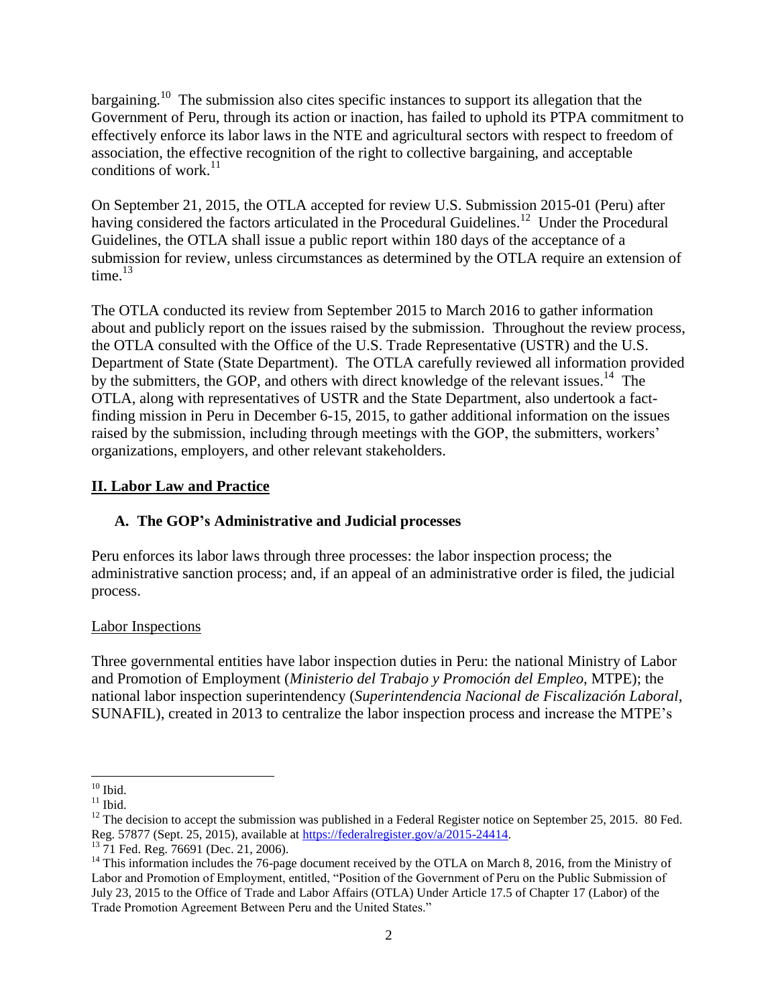bargaining.<sup>10</sup> The submission also cites specific instances to support its allegation that the Government of Peru, through its action or inaction, has failed to uphold its PTPA commitment to effectively enforce its labor laws in the NTE and agricultural sectors with respect to freedom of association, the effective recognition of the right to collective bargaining, and acceptable conditions of work. $^{11}$ 

On September 21, 2015, the OTLA accepted for review U.S. Submission 2015-01 (Peru) after having considered the factors articulated in the Procedural Guidelines.<sup>12</sup> Under the Procedural Guidelines, the OTLA shall issue a public report within 180 days of the acceptance of a submission for review, unless circumstances as determined by the OTLA require an extension of time. $13$ 

The OTLA conducted its review from September 2015 to March 2016 to gather information about and publicly report on the issues raised by the submission. Throughout the review process, the OTLA consulted with the Office of the U.S. Trade Representative (USTR) and the U.S. Department of State (State Department). The OTLA carefully reviewed all information provided by the submitters, the GOP, and others with direct knowledge of the relevant issues.<sup>14</sup> The OTLA, along with representatives of USTR and the State Department, also undertook a factfinding mission in Peru in December 6-15, 2015, to gather additional information on the issues raised by the submission, including through meetings with the GOP, the submitters, workers' organizations, employers, and other relevant stakeholders.

# **II. Labor Law and Practice**

# **A. The GOP's Administrative and Judicial processes**

Peru enforces its labor laws through three processes: the labor inspection process; the administrative sanction process; and, if an appeal of an administrative order is filed, the judicial process.

# Labor Inspections

Three governmental entities have labor inspection duties in Peru: the national Ministry of Labor and Promotion of Employment (*Ministerio del Trabajo y Promoción del Empleo*, MTPE); the national labor inspection superintendency (*Superintendencia Nacional de Fiscalización Laboral*, SUNAFIL), created in 2013 to centralize the labor inspection process and increase the MTPE's

 $\overline{\phantom{a}}$  $10$  Ibid.

 $^{11}$  Ibid.

 $12$  The decision to accept the submission was published in a Federal Register notice on September 25, 2015. 80 Fed. Reg. 57877 (Sept. 25, 2015), available at [https://federalregister.gov/a/2015-24414.](https://federalregister.gov/a/2015-24414)

<sup>&</sup>lt;sup>13</sup> 71 Fed. Reg. 76691 (Dec. 21, 2006).

<sup>&</sup>lt;sup>14</sup> This information includes the 76-page document received by the OTLA on March 8, 2016, from the Ministry of Labor and Promotion of Employment, entitled, "Position of the Government of Peru on the Public Submission of July 23, 2015 to the Office of Trade and Labor Affairs (OTLA) Under Article 17.5 of Chapter 17 (Labor) of the Trade Promotion Agreement Between Peru and the United States."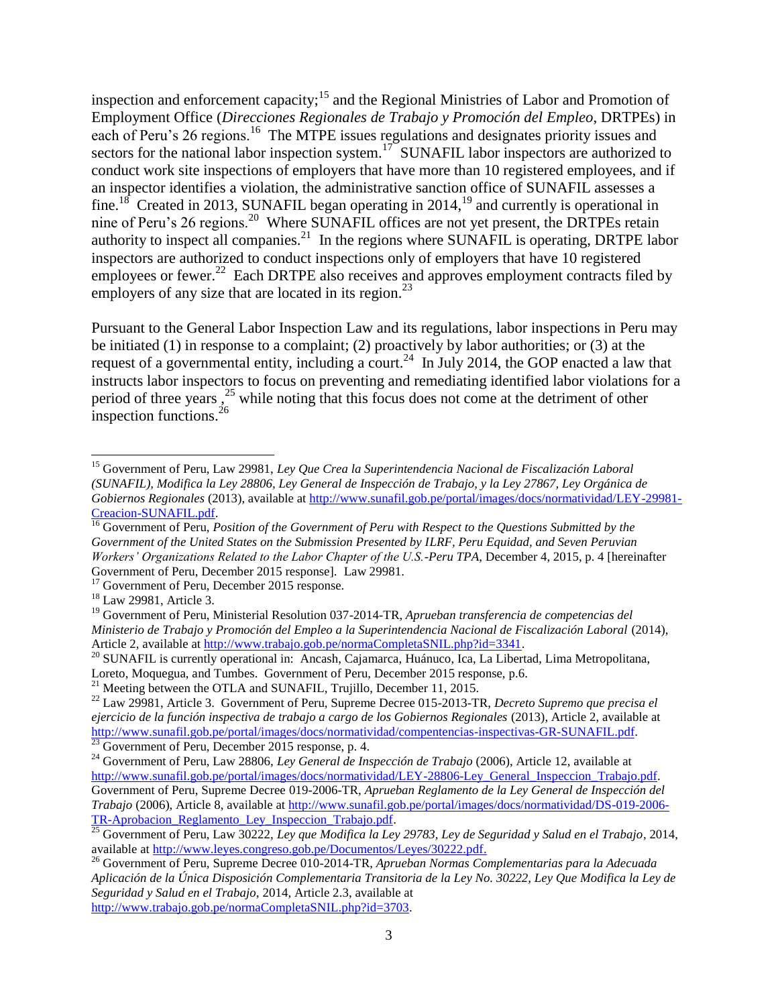inspection and enforcement capacity;<sup>15</sup> and the Regional Ministries of Labor and Promotion of Employment Office (*Direcciones Regionales de Trabajo y Promoción del Empleo*, DRTPEs) in each of Peru's 26 regions.<sup>16</sup> The MTPE issues regulations and designates priority issues and sectors for the national labor inspection system.<sup>17</sup> SUNAFIL labor inspectors are authorized to conduct work site inspections of employers that have more than 10 registered employees, and if an inspector identifies a violation, the administrative sanction office of SUNAFIL assesses a fine.<sup>18</sup> Created in 2013, SUNAFIL began operating in 2014,<sup>19</sup> and currently is operational in nine of Peru's 26 regions.<sup>20</sup> Where SUNAFIL offices are not yet present, the DRTPEs retain authority to inspect all companies.<sup>21</sup> In the regions where SUNAFIL is operating, DRTPE labor inspectors are authorized to conduct inspections only of employers that have 10 registered employees or fewer.<sup>22</sup> Each DRTPE also receives and approves employment contracts filed by employers of any size that are located in its region.<sup>23</sup>

Pursuant to the General Labor Inspection Law and its regulations, labor inspections in Peru may be initiated (1) in response to a complaint; (2) proactively by labor authorities; or (3) at the request of a governmental entity, including a court.<sup>24</sup> In July 2014, the GOP enacted a law that instructs labor inspectors to focus on preventing and remediating identified labor violations for a period of three years,<sup>25</sup> while noting that this focus does not come at the detriment of other inspection functions.<sup>26</sup>

<sup>15</sup> Government of Peru, Law 29981, *Ley Que Crea la Superintendencia Nacional de Fiscalización Laboral (SUNAFIL), Modifica la Ley 28806, Ley General de Inspección de Trabajo, y la Ley 27867, Ley Orgánica de Gobiernos Regionales* (2013), available a[t http://www.sunafil.gob.pe/portal/images/docs/normatividad/LEY-29981-](http://www.sunafil.gob.pe/portal/images/docs/normatividad/LEY-29981-Creacion-SUNAFIL.pdf) [Creacion-SUNAFIL.pdf.](http://www.sunafil.gob.pe/portal/images/docs/normatividad/LEY-29981-Creacion-SUNAFIL.pdf) 

<sup>16</sup> Government of Peru, *Position of the Government of Peru with Respect to the Questions Submitted by the Government of the United States on the Submission Presented by ILRF, Peru Equidad, and Seven Peruvian Workers' Organizations Related to the Labor Chapter of the U.S.-Peru TPA*, December 4, 2015, p. 4 [hereinafter Government of Peru, December 2015 response]. Law 29981.

<sup>&</sup>lt;sup>17</sup> Government of Peru, December 2015 response.

<sup>&</sup>lt;sup>18</sup> Law 29981, Article 3.

<sup>19</sup> Government of Peru, Ministerial Resolution 037-2014-TR, *Aprueban transferencia de competencias del Ministerio de Trabajo y Promoción del Empleo a la Superintendencia Nacional de Fiscalización Laboral* (2014), Article 2, available at [http://www.trabajo.gob.pe/normaCompletaSNIL.php?id=3341.](http://www.trabajo.gob.pe/normaCompletaSNIL.php?id=3341)

<sup>&</sup>lt;sup>20</sup> SUNAFIL is currently operational in: Ancash, Cajamarca, Huánuco, Ica, La Libertad, Lima Metropolitana, Loreto, Moquegua, and Tumbes. Government of Peru, December 2015 response, p.6.

<sup>&</sup>lt;sup>21</sup> Meeting between the OTLA and SUNAFIL, Trujillo, December 11, 2015.

<sup>22</sup> Law 29981, Article 3. Government of Peru, Supreme Decree 015-2013-TR, *Decreto Supremo que precisa el ejercicio de la función inspectiva de trabajo a cargo de los Gobiernos Regionales* (2013), Article 2, available at [http://www.sunafil.gob.pe/portal/images/docs/normatividad/compentencias-inspectivas-GR-SUNAFIL.pdf.](http://www.sunafil.gob.pe/portal/images/docs/normatividad/compentencias-inspectivas-GR-SUNAFIL.pdf)  $^{23}$  Government of Peru, December 2015 response, p. 4.

<sup>24</sup> Government of Peru, Law 28806, *Ley General de Inspección de Trabajo* (2006), Article 12, available at http://www.sunafil.gob.pe/portal/images/docs/normatividad/LEY-28806-Ley General Inspeccion Trabajo.pdf. Government of Peru, Supreme Decree 019-2006-TR, *Aprueban Reglamento de la Ley General de Inspección del Trabajo* (2006), Article 8, available at [http://www.sunafil.gob.pe/portal/images/docs/normatividad/DS-019-2006-](http://www.sunafil.gob.pe/portal/images/docs/normatividad/DS-019-2006-TR-Aprobacion_Reglamento_Ley_Inspeccion_Trabajo.pdf) TR-Aprobacion Reglamento Ley Inspeccion Trabajo.pdf.

<sup>25</sup> Government of Peru, Law 30222, *Ley que Modifica la Ley 29783, Ley de Seguridad y Salud en el Trabajo*, 2014, available at [http://www.leyes.congreso.gob.pe/Documentos/Leyes/30222.pdf.](http://www.leyes.congreso.gob.pe/Documentos/Leyes/30222.pdf)

<sup>26</sup> Government of Peru*,* Supreme Decree 010-2014-TR, *Aprueban Normas Complementarias para la Adecuada Aplicación de la Única Disposición Complementaria Transitoria de la Ley No. 30222, Ley Que Modifica la Ley de Seguridad y Salud en el Trabajo,* 2014, Article 2.3, available at [http://www.trabajo.gob.pe/normaCompletaSNIL.php?id=3703.](http://www.trabajo.gob.pe/normaCompletaSNIL.php?id=3703)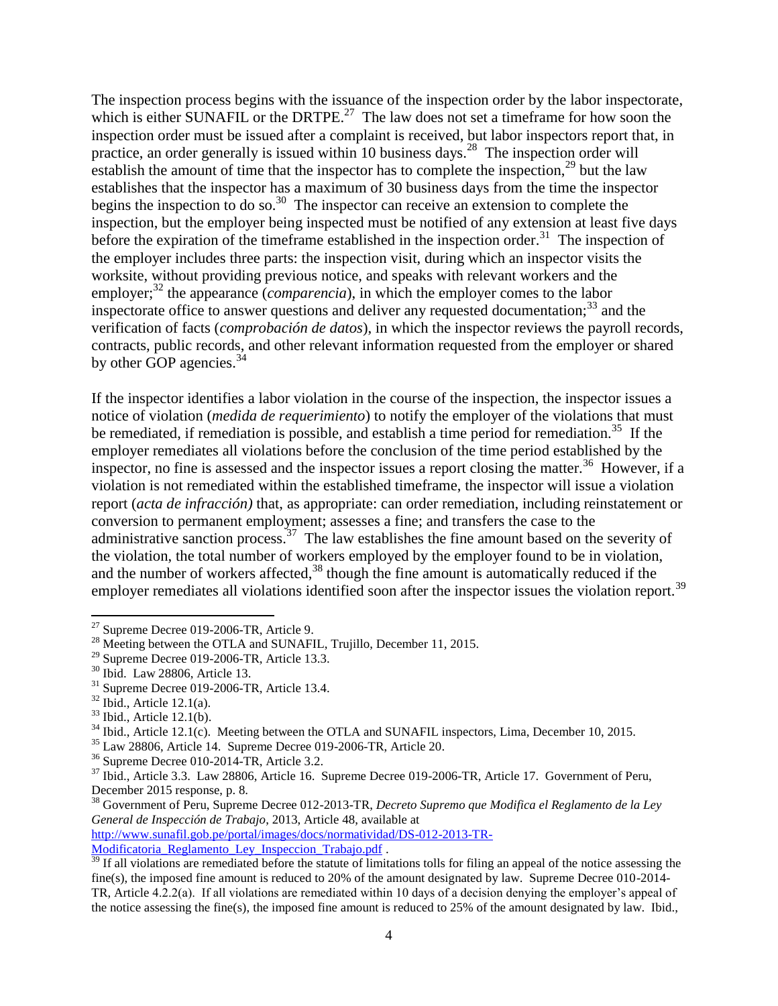The inspection process begins with the issuance of the inspection order by the labor inspectorate, which is either SUNAFIL or the DRTPE.<sup>27</sup> The law does not set a timeframe for how soon the inspection order must be issued after a complaint is received, but labor inspectors report that, in practice, an order generally is issued within 10 business days.<sup>28</sup> The inspection order will establish the amount of time that the inspector has to complete the inspection,  $2^9$  but the law establishes that the inspector has a maximum of 30 business days from the time the inspector begins the inspection to do so.<sup>30</sup> The inspector can receive an extension to complete the inspection, but the employer being inspected must be notified of any extension at least five days before the expiration of the timeframe established in the inspection order.<sup>31</sup> The inspection of the employer includes three parts: the inspection visit, during which an inspector visits the worksite, without providing previous notice, and speaks with relevant workers and the employer;<sup>32</sup> the appearance (*comparencia*), in which the employer comes to the labor inspectorate office to answer questions and deliver any requested documentation; $33$  and the verification of facts (*comprobación de datos*), in which the inspector reviews the payroll records, contracts, public records, and other relevant information requested from the employer or shared by other GOP agencies. $34$ 

If the inspector identifies a labor violation in the course of the inspection, the inspector issues a notice of violation (*medida de requerimiento*) to notify the employer of the violations that must be remediated, if remediation is possible, and establish a time period for remediation.<sup>35</sup> If the employer remediates all violations before the conclusion of the time period established by the inspector, no fine is assessed and the inspector issues a report closing the matter.<sup>36</sup> However, if a violation is not remediated within the established timeframe, the inspector will issue a violation report (*acta de infracción)* that, as appropriate: can order remediation, including reinstatement or conversion to permanent employment; assesses a fine; and transfers the case to the administrative sanction process.<sup>37</sup> The law establishes the fine amount based on the severity of the violation, the total number of workers employed by the employer found to be in violation, and the number of workers affected,  $38$  though the fine amount is automatically reduced if the employer remediates all violations identified soon after the inspector issues the violation report.<sup>39</sup>

 $\overline{a}$ 

<sup>35</sup> Law 28806, Article 14. Supreme Decree 019-2006-TR, Article 20.

<sup>38</sup> Government of Peru, Supreme Decree 012-2013-TR, *Decreto Supremo que Modifica el Reglamento de la Ley General de Inspección de Trabajo*, 2013, Article 48, available at

[http://www.sunafil.gob.pe/portal/images/docs/normatividad/DS-012-2013-TR-](http://www.sunafil.gob.pe/portal/images/docs/normatividad/DS-012-2013-TR-Modificatoria_Reglamento_Ley_Inspeccion_Trabajo.pdf)

[Modificatoria\\_Reglamento\\_Ley\\_Inspeccion\\_Trabajo.pdf](http://www.sunafil.gob.pe/portal/images/docs/normatividad/DS-012-2013-TR-Modificatoria_Reglamento_Ley_Inspeccion_Trabajo.pdf) .

 $27$  Supreme Decree 019-2006-TR, Article 9.

<sup>&</sup>lt;sup>28</sup> Meeting between the OTLA and SUNAFIL, Trujillo, December 11, 2015.

 $29$  Supreme Decree 019-2006-TR, Article 13.3.

<sup>30</sup> Ibid. Law 28806, Article 13.

 $31$  Supreme Decree 019-2006-TR, Article 13.4.

 $32$  Ibid., Article 12.1(a).

 $33$  Ibid., Article 12.1(b).

<sup>&</sup>lt;sup>34</sup> Ibid., Article 12.1(c). Meeting between the OTLA and SUNAFIL inspectors, Lima, December 10, 2015.

<sup>36</sup> Supreme Decree 010-2014-TR, Article 3.2.

<sup>&</sup>lt;sup>37</sup> Ibid., Article 3.3. Law 28806, Article 16. Supreme Decree 019-2006-TR, Article 17. Government of Peru, December 2015 response, p. 8.

<sup>&</sup>lt;sup>39</sup> If all violations are remediated before the statute of limitations tolls for filing an appeal of the notice assessing the fine(s), the imposed fine amount is reduced to 20% of the amount designated by law. Supreme Decree 010-2014- TR, Article 4.2.2(a). If all violations are remediated within 10 days of a decision denying the employer's appeal of the notice assessing the fine(s), the imposed fine amount is reduced to 25% of the amount designated by law. Ibid.,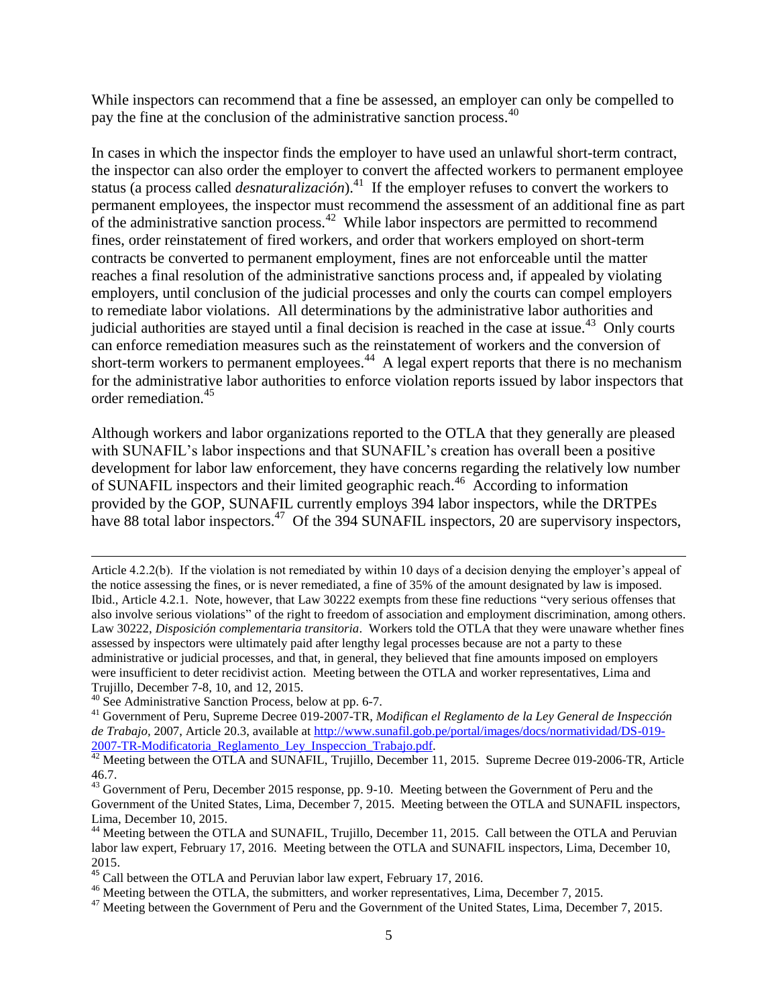While inspectors can recommend that a fine be assessed, an employer can only be compelled to pay the fine at the conclusion of the administrative sanction process.<sup>40</sup>

In cases in which the inspector finds the employer to have used an unlawful short-term contract, the inspector can also order the employer to convert the affected workers to permanent employee status (a process called *desnaturalización*).<sup>41</sup> If the employer refuses to convert the workers to permanent employees, the inspector must recommend the assessment of an additional fine as part of the administrative sanction process.<sup>42</sup> While labor inspectors are permitted to recommend fines, order reinstatement of fired workers, and order that workers employed on short-term contracts be converted to permanent employment, fines are not enforceable until the matter reaches a final resolution of the administrative sanctions process and, if appealed by violating employers, until conclusion of the judicial processes and only the courts can compel employers to remediate labor violations. All determinations by the administrative labor authorities and judicial authorities are stayed until a final decision is reached in the case at issue.<sup>43</sup> Only courts can enforce remediation measures such as the reinstatement of workers and the conversion of short-term workers to permanent employees. $44$  A legal expert reports that there is no mechanism for the administrative labor authorities to enforce violation reports issued by labor inspectors that order remediation.<sup>45</sup>

Although workers and labor organizations reported to the OTLA that they generally are pleased with SUNAFIL's labor inspections and that SUNAFIL's creation has overall been a positive development for labor law enforcement, they have concerns regarding the relatively low number of SUNAFIL inspectors and their limited geographic reach.<sup>46</sup> According to information provided by the GOP, SUNAFIL currently employs 394 labor inspectors, while the DRTPEs have 88 total labor inspectors.<sup>47</sup> Of the 394 SUNAFIL inspectors, 20 are supervisory inspectors,

Article 4.2.2(b). If the violation is not remediated by within 10 days of a decision denying the employer's appeal of the notice assessing the fines, or is never remediated, a fine of 35% of the amount designated by law is imposed. Ibid., Article 4.2.1. Note, however, that Law 30222 exempts from these fine reductions "very serious offenses that also involve serious violations" of the right to freedom of association and employment discrimination, among others. Law 30222, *Disposición complementaria transitoria*. Workers told the OTLA that they were unaware whether fines assessed by inspectors were ultimately paid after lengthy legal processes because are not a party to these administrative or judicial processes, and that, in general, they believed that fine amounts imposed on employers were insufficient to deter recidivist action. Meeting between the OTLA and worker representatives, Lima and Trujillo, December 7-8, 10, and 12, 2015.

l

<sup>40</sup> See Administrative Sanction Process, below at pp. 6-7.

<sup>41</sup> Government of Peru, Supreme Decree 019-2007-TR, *Modifican el Reglamento de la Ley General de Inspección de Trabajo,* 2007, Article 20.3, available at [http://www.sunafil.gob.pe/portal/images/docs/normatividad/DS-019-](http://www.sunafil.gob.pe/portal/images/docs/normatividad/DS-019-2007-TR-Modificatoria_Reglamento_Ley_Inspeccion_Trabajo.pdf) [2007-TR-Modificatoria\\_Reglamento\\_Ley\\_Inspeccion\\_Trabajo.pdf.](http://www.sunafil.gob.pe/portal/images/docs/normatividad/DS-019-2007-TR-Modificatoria_Reglamento_Ley_Inspeccion_Trabajo.pdf)

<sup>&</sup>lt;sup>42</sup> Meeting between the OTLA and SUNAFIL, Trujillo, December 11, 2015. Supreme Decree 019-2006-TR, Article 46.7.

 $43$  Government of Peru, December 2015 response, pp. 9-10. Meeting between the Government of Peru and the Government of the United States, Lima, December 7, 2015. Meeting between the OTLA and SUNAFIL inspectors, Lima, December 10, 2015.

<sup>&</sup>lt;sup>44</sup> Meeting between the OTLA and SUNAFIL, Trujillo, December 11, 2015. Call between the OTLA and Peruvian labor law expert, February 17, 2016. Meeting between the OTLA and SUNAFIL inspectors, Lima, December 10, 2015.

<sup>&</sup>lt;sup>45</sup> Call between the OTLA and Peruvian labor law expert, February 17, 2016.

<sup>&</sup>lt;sup>46</sup> Meeting between the OTLA, the submitters, and worker representatives, Lima, December 7, 2015.

 $47$  Meeting between the Government of Peru and the Government of the United States, Lima, December 7, 2015.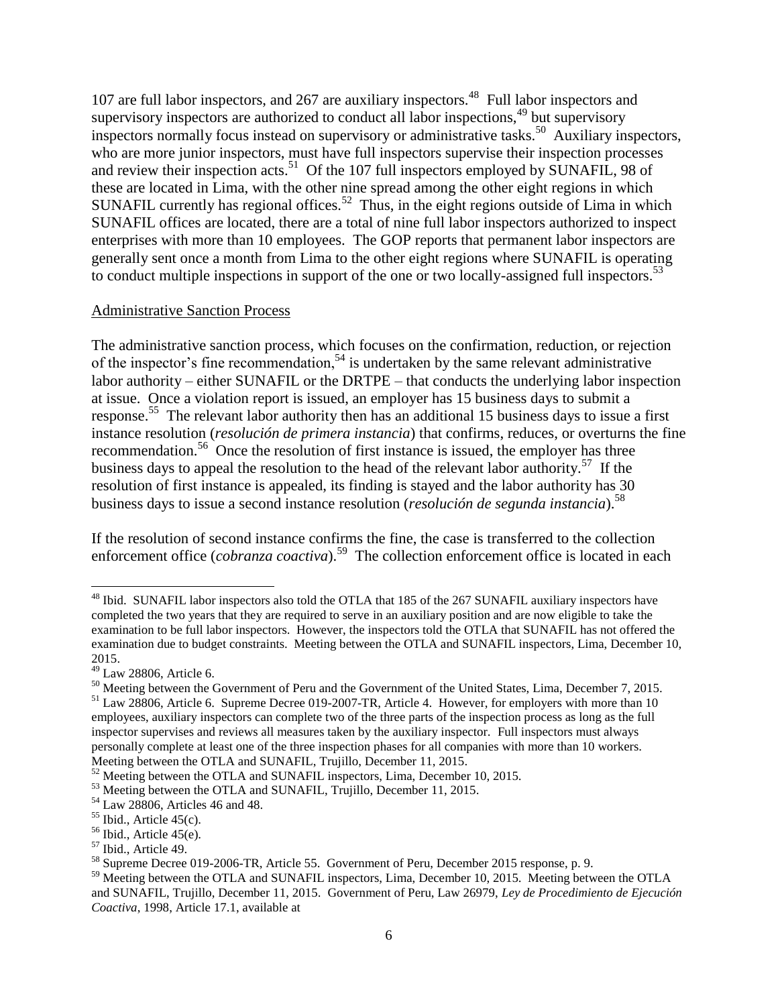107 are full labor inspectors, and 267 are auxiliary inspectors.<sup>48</sup> Full labor inspectors and supervisory inspectors are authorized to conduct all labor inspections,  $49$  but supervisory inspectors normally focus instead on supervisory or administrative tasks.<sup>50</sup> Auxiliary inspectors, who are more junior inspectors, must have full inspectors supervise their inspection processes and review their inspection acts.<sup>51</sup> Of the 107 full inspectors employed by SUNAFIL, 98 of these are located in Lima, with the other nine spread among the other eight regions in which SUNAFIL currently has regional offices.<sup>52</sup> Thus, in the eight regions outside of Lima in which SUNAFIL offices are located, there are a total of nine full labor inspectors authorized to inspect enterprises with more than 10 employees. The GOP reports that permanent labor inspectors are generally sent once a month from Lima to the other eight regions where SUNAFIL is operating to conduct multiple inspections in support of the one or two locally-assigned full inspectors.<sup>53</sup>

#### Administrative Sanction Process

The administrative sanction process, which focuses on the confirmation, reduction, or rejection of the inspector's fine recommendation,<sup>54</sup> is undertaken by the same relevant administrative labor authority – either SUNAFIL or the DRTPE – that conducts the underlying labor inspection at issue. Once a violation report is issued, an employer has 15 business days to submit a response.<sup>55</sup> The relevant labor authority then has an additional 15 business days to issue a first instance resolution (*resolución de primera instancia*) that confirms, reduces, or overturns the fine recommendation.<sup>56</sup> Once the resolution of first instance is issued, the employer has three business days to appeal the resolution to the head of the relevant labor authority.<sup>57</sup> If the resolution of first instance is appealed, its finding is stayed and the labor authority has 30 business days to issue a second instance resolution (*resolución de segunda instancia*).<sup>58</sup>

If the resolution of second instance confirms the fine, the case is transferred to the collection enforcement office (*cobranza coactiva*).<sup>59</sup> The collection enforcement office is located in each

<sup>&</sup>lt;sup>48</sup> Ibid. SUNAFIL labor inspectors also told the OTLA that 185 of the 267 SUNAFIL auxiliary inspectors have completed the two years that they are required to serve in an auxiliary position and are now eligible to take the examination to be full labor inspectors. However, the inspectors told the OTLA that SUNAFIL has not offered the examination due to budget constraints. Meeting between the OTLA and SUNAFIL inspectors, Lima, December 10, 2015.

<sup>49</sup> Law 28806, Article 6.

<sup>&</sup>lt;sup>50</sup> Meeting between the Government of Peru and the Government of the United States, Lima, December 7, 2015.

<sup>&</sup>lt;sup>51</sup> Law 28806, Article 6. Supreme Decree 019-2007-TR, Article 4. However, for employers with more than 10 employees, auxiliary inspectors can complete two of the three parts of the inspection process as long as the full inspector supervises and reviews all measures taken by the auxiliary inspector. Full inspectors must always personally complete at least one of the three inspection phases for all companies with more than 10 workers. Meeting between the OTLA and SUNAFIL, Trujillo, December 11, 2015.

<sup>&</sup>lt;sup>52</sup> Meeting between the OTLA and SUNAFIL inspectors, Lima, December 10, 2015.

<sup>&</sup>lt;sup>53</sup> Meeting between the OTLA and SUNAFIL, Trujillo, December 11, 2015.

<sup>54</sup> Law 28806, Articles 46 and 48.

 $<sup>55</sup>$  Ibid., Article 45(c).</sup>

 $56$  Ibid., Article 45(e).

<sup>57</sup> Ibid., Article 49.

<sup>58</sup> Supreme Decree 019-2006-TR, Article 55. Government of Peru, December 2015 response, p. 9.

<sup>&</sup>lt;sup>59</sup> Meeting between the OTLA and SUNAFIL inspectors, Lima, December 10, 2015. Meeting between the OTLA and SUNAFIL, Trujillo, December 11, 2015. Government of Peru, Law 26979, *Ley de Procedimiento de Ejecución Coactiva*, 1998, Article 17.1, available at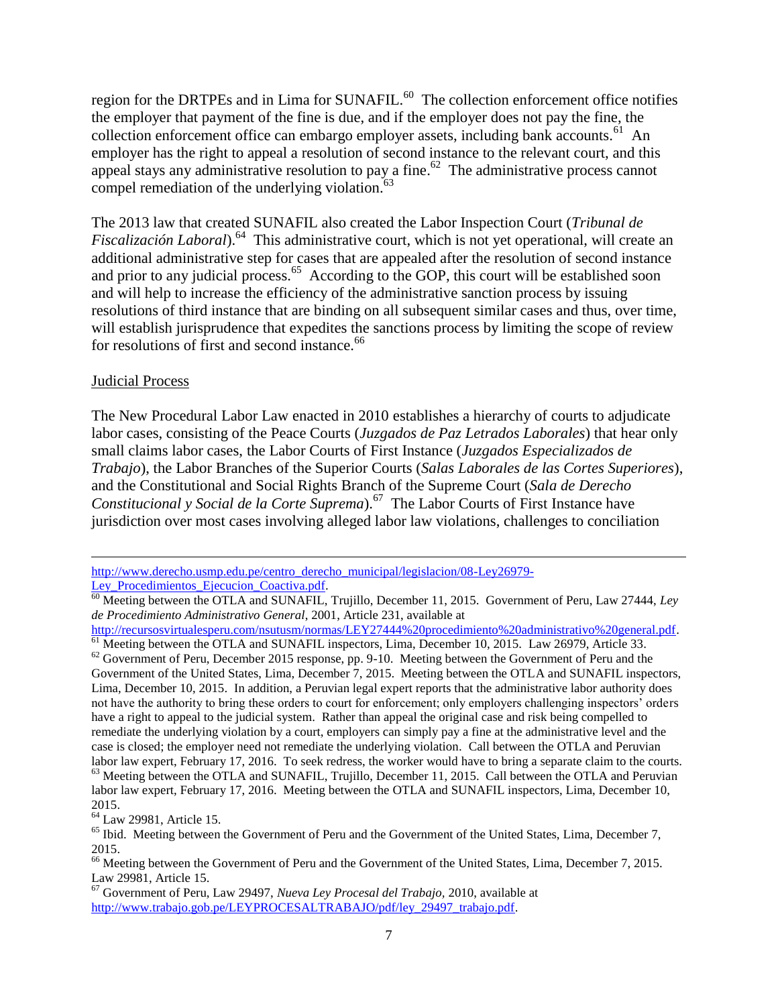region for the DRTPEs and in Lima for SUNAFIL. $^{60}$  The collection enforcement office notifies the employer that payment of the fine is due, and if the employer does not pay the fine, the collection enforcement office can embargo employer assets, including bank accounts.<sup>61</sup> An employer has the right to appeal a resolution of second instance to the relevant court, and this appeal stays any administrative resolution to pay a fine.<sup>62</sup> The administrative process cannot compel remediation of the underlying violation. $63$ 

The 2013 law that created SUNAFIL also created the Labor Inspection Court (*Tribunal de*  Fiscalización Laboral).<sup>64</sup> This administrative court, which is not yet operational, will create an additional administrative step for cases that are appealed after the resolution of second instance and prior to any judicial process.<sup>65</sup> According to the GOP, this court will be established soon and will help to increase the efficiency of the administrative sanction process by issuing resolutions of third instance that are binding on all subsequent similar cases and thus, over time, will establish jurisprudence that expedites the sanctions process by limiting the scope of review for resolutions of first and second instance.<sup>66</sup>

#### Judicial Process

The New Procedural Labor Law enacted in 2010 establishes a hierarchy of courts to adjudicate labor cases, consisting of the Peace Courts (*Juzgados de Paz Letrados Laborales*) that hear only small claims labor cases, the Labor Courts of First Instance (*Juzgados Especializados de Trabajo*), the Labor Branches of the Superior Courts (*Salas Laborales de las Cortes Superiores*), and the Constitutional and Social Rights Branch of the Supreme Court (*Sala de Derecho Constitucional y Social de la Corte Suprema*).<sup>67</sup> The Labor Courts of First Instance have jurisdiction over most cases involving alleged labor law violations, challenges to conciliation

 $\overline{a}$ [http://www.derecho.usmp.edu.pe/centro\\_derecho\\_municipal/legislacion/08-Ley26979-](http://www.derecho.usmp.edu.pe/centro_derecho_municipal/legislacion/08-Ley26979-Ley_Procedimientos_Ejecucion_Coactiva.pdf) Ley Procedimientos Ejecucion Coactiva.pdf.

<sup>60</sup> Meeting between the OTLA and SUNAFIL, Trujillo, December 11, 2015. Government of Peru, Law 27444, *Ley de Procedimiento Administrativo General*, 2001, Article 231, available at

[http://recursosvirtualesperu.com/nsutusm/normas/LEY27444%20procedimiento%20administrativo%20general.pdf.](http://recursosvirtualesperu.com/nsutusm/normas/LEY27444%20procedimiento%20administrativo%20general.pdf)  <sup>61</sup> Meeting between the OTLA and SUNAFIL inspectors, Lima, December 10, 2015. Law 26979, Article 33.

<sup>&</sup>lt;sup>62</sup> Government of Peru, December 2015 response, pp. 9-10. Meeting between the Government of Peru and the Government of the United States, Lima, December 7, 2015. Meeting between the OTLA and SUNAFIL inspectors, Lima, December 10, 2015. In addition, a Peruvian legal expert reports that the administrative labor authority does not have the authority to bring these orders to court for enforcement; only employers challenging inspectors' orders have a right to appeal to the judicial system. Rather than appeal the original case and risk being compelled to remediate the underlying violation by a court, employers can simply pay a fine at the administrative level and the case is closed; the employer need not remediate the underlying violation. Call between the OTLA and Peruvian labor law expert, February 17, 2016. To seek redress, the worker would have to bring a separate claim to the courts. <sup>63</sup> Meeting between the OTLA and SUNAFIL, Trujillo, December 11, 2015. Call between the OTLA and Peruvian

labor law expert, February 17, 2016. Meeting between the OTLA and SUNAFIL inspectors, Lima, December 10, 2015.

<sup>&</sup>lt;sup>64</sup> Law 29981, Article 15.

<sup>&</sup>lt;sup>65</sup> Ibid. Meeting between the Government of Peru and the Government of the United States, Lima, December 7, 2015.

<sup>&</sup>lt;sup>66</sup> Meeting between the Government of Peru and the Government of the United States, Lima, December 7, 2015. Law 29981, Article 15.

<sup>67</sup> Government of Peru, Law 29497, *Nueva Ley Procesal del Trabajo,* 2010, available at [http://www.trabajo.gob.pe/LEYPROCESALTRABAJO/pdf/ley\\_29497\\_trabajo.pdf.](http://www.trabajo.gob.pe/LEYPROCESALTRABAJO/pdf/ley_29497_trabajo.pdf)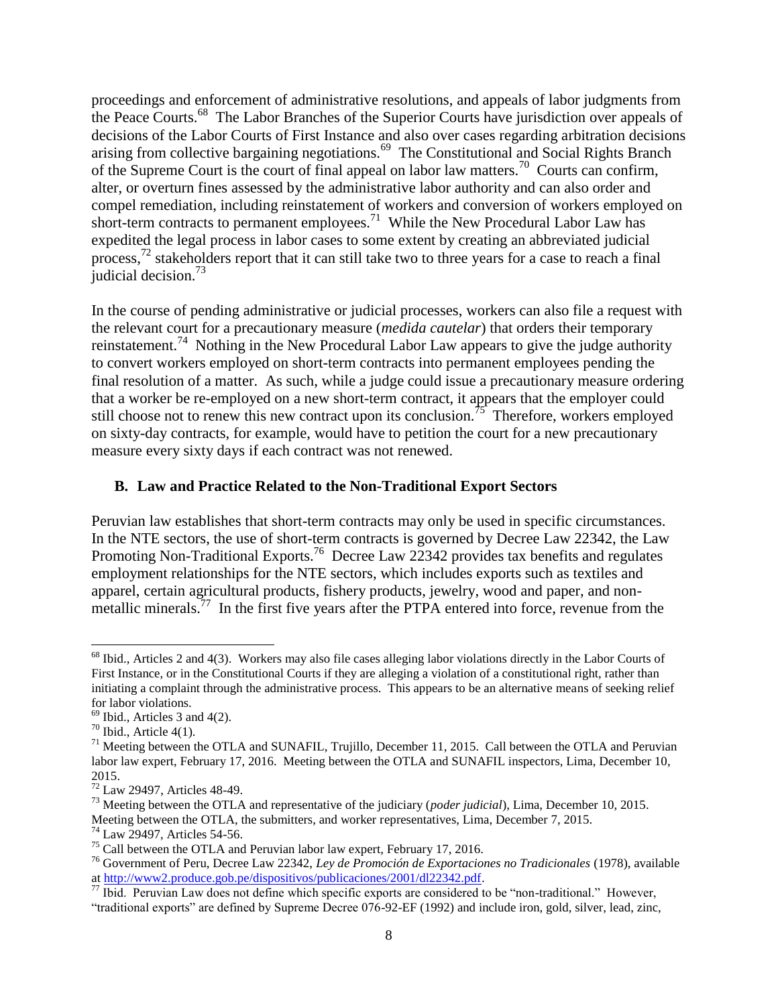proceedings and enforcement of administrative resolutions, and appeals of labor judgments from the Peace Courts.<sup>68</sup> The Labor Branches of the Superior Courts have jurisdiction over appeals of decisions of the Labor Courts of First Instance and also over cases regarding arbitration decisions arising from collective bargaining negotiations.<sup>69</sup> The Constitutional and Social Rights Branch of the Supreme Court is the court of final appeal on labor law matters.<sup>70</sup> Courts can confirm, alter, or overturn fines assessed by the administrative labor authority and can also order and compel remediation, including reinstatement of workers and conversion of workers employed on short-term contracts to permanent employees.<sup>71</sup> While the New Procedural Labor Law has expedited the legal process in labor cases to some extent by creating an abbreviated judicial process, $^{72}$  stakeholders report that it can still take two to three years for a case to reach a final judicial decision.<sup>73</sup>

In the course of pending administrative or judicial processes, workers can also file a request with the relevant court for a precautionary measure (*medida cautelar*) that orders their temporary reinstatement.<sup>74</sup> Nothing in the New Procedural Labor Law appears to give the judge authority to convert workers employed on short-term contracts into permanent employees pending the final resolution of a matter. As such, while a judge could issue a precautionary measure ordering that a worker be re-employed on a new short-term contract, it appears that the employer could still choose not to renew this new contract upon its conclusion.<sup>75</sup> Therefore, workers employed on sixty-day contracts, for example, would have to petition the court for a new precautionary measure every sixty days if each contract was not renewed.

#### **B. Law and Practice Related to the Non-Traditional Export Sectors**

Peruvian law establishes that short-term contracts may only be used in specific circumstances. In the NTE sectors, the use of short-term contracts is governed by Decree Law 22342, the Law Promoting Non-Traditional Exports.<sup>76</sup> Decree Law 22342 provides tax benefits and regulates employment relationships for the NTE sectors, which includes exports such as textiles and apparel, certain agricultural products, fishery products, jewelry, wood and paper, and nonmetallic minerals.<sup>77</sup> In the first five years after the PTPA entered into force, revenue from the

 $\overline{a}$ 

 $68$  Ibid., Articles 2 and 4(3). Workers may also file cases alleging labor violations directly in the Labor Courts of First Instance, or in the Constitutional Courts if they are alleging a violation of a constitutional right, rather than initiating a complaint through the administrative process. This appears to be an alternative means of seeking relief for labor violations.

 $69$  Ibid., Articles 3 and 4(2).

 $70$  Ibid., Article 4(1).

 $^{71}$  Meeting between the OTLA and SUNAFIL, Trujillo, December 11, 2015. Call between the OTLA and Peruvian labor law expert, February 17, 2016. Meeting between the OTLA and SUNAFIL inspectors, Lima, December 10, 2015.

<sup>72</sup> Law 29497, Articles 48-49.

<sup>73</sup> Meeting between the OTLA and representative of the judiciary (*poder judicial*), Lima, December 10, 2015. Meeting between the OTLA, the submitters, and worker representatives, Lima, December 7, 2015.

<sup>74</sup> Law 29497, Articles 54-56.

<sup>&</sup>lt;sup>75</sup> Call between the OTLA and Peruvian labor law expert, February 17, 2016.

<sup>76</sup> Government of Peru, Decree Law 22342, *Ley de Promoción de Exportaciones no Tradicionales* (1978), available a[t http://www2.produce.gob.pe/dispositivos/publicaciones/2001/dl22342.pdf.](http://www2.produce.gob.pe/dispositivos/publicaciones/2001/dl22342.pdf)

<sup>&</sup>lt;sup>77</sup> Ibid. Peruvian Law does not define which specific exports are considered to be "non-traditional." However, "traditional exports" are defined by Supreme Decree 076-92-EF (1992) and include iron, gold, silver, lead, zinc,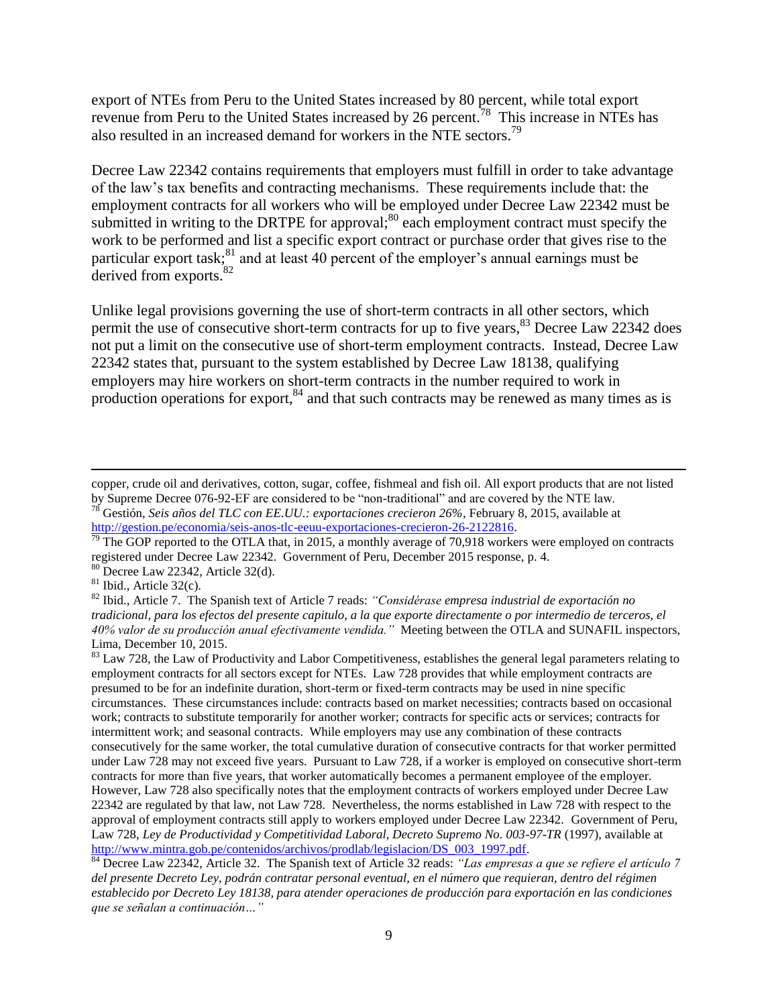export of NTEs from Peru to the United States increased by 80 percent, while total export revenue from Peru to the United States increased by 26 percent.<sup>78</sup> This increase in NTEs has also resulted in an increased demand for workers in the NTE sectors. 79

Decree Law 22342 contains requirements that employers must fulfill in order to take advantage of the law's tax benefits and contracting mechanisms. These requirements include that: the employment contracts for all workers who will be employed under Decree Law 22342 must be submitted in writing to the DRTPE for approval;  $80$  each employment contract must specify the work to be performed and list a specific export contract or purchase order that gives rise to the particular export task; $^{81}$  and at least 40 percent of the employer's annual earnings must be derived from exports.<sup>82</sup>

Unlike legal provisions governing the use of short-term contracts in all other sectors, which permit the use of consecutive short-term contracts for up to five years,<sup>83</sup> Decree Law 22342 does not put a limit on the consecutive use of short-term employment contracts. Instead, Decree Law 22342 states that, pursuant to the system established by Decree Law 18138, qualifying employers may hire workers on short-term contracts in the number required to work in production operations for export, $84$  and that such contracts may be renewed as many times as is

<sup>80</sup> Decree Law 22342, Article 32(d).

 $81$  Ibid., Article 32(c).

 $\overline{a}$ 

<sup>84</sup> Decree Law 22342, Article 32. The Spanish text of Article 32 reads: *"Las empresas a que se refiere el artículo 7 del presente Decreto Ley, podrán contratar personal eventual, en el número que requieran, dentro del régimen establecido por Decreto Ley 18138, para atender operaciones de producción para exportación en las condiciones que se señalan a continuación…"*

copper, crude oil and derivatives, cotton, sugar, coffee, fishmeal and fish oil. All export products that are not listed by Supreme Decree 076-92-EF are considered to be "non-traditional" and are covered by the NTE law.

<sup>78</sup> Gestión, *Seis años del TLC con EE.UU.: exportaciones crecieron 26%*, February 8, 2015, available at [http://gestion.pe/economia/seis-anos-tlc-eeuu-exportaciones-crecieron-26-2122816.](http://gestion.pe/economia/seis-anos-tlc-eeuu-exportaciones-crecieron-26-2122816)

<sup>&</sup>lt;sup>79</sup> The GOP reported to the OTLA that, in 2015, a monthly average of 70,918 workers were employed on contracts registered under Decree Law 22342. Government of Peru, December 2015 response, p. 4.

<sup>82</sup> Ibid., Article 7. The Spanish text of Article 7 reads: *"Considérase empresa industrial de exportación no tradicional, para los efectos del presente capitulo, a la que exporte directamente o por intermedio de terceros, el 40% valor de su producción anual efectivamente vendida."* Meeting between the OTLA and SUNAFIL inspectors, Lima, December 10, 2015.

<sup>&</sup>lt;sup>83</sup> Law 728, the Law of Productivity and Labor Competitiveness, establishes the general legal parameters relating to employment contracts for all sectors except for NTEs. Law 728 provides that while employment contracts are presumed to be for an indefinite duration, short-term or fixed-term contracts may be used in nine specific circumstances. These circumstances include: contracts based on market necessities; contracts based on occasional work; contracts to substitute temporarily for another worker; contracts for specific acts or services; contracts for intermittent work; and seasonal contracts. While employers may use any combination of these contracts consecutively for the same worker, the total cumulative duration of consecutive contracts for that worker permitted under Law 728 may not exceed five years. Pursuant to Law 728, if a worker is employed on consecutive short-term contracts for more than five years, that worker automatically becomes a permanent employee of the employer. However, Law 728 also specifically notes that the employment contracts of workers employed under Decree Law 22342 are regulated by that law, not Law 728. Nevertheless, the norms established in Law 728 with respect to the approval of employment contracts still apply to workers employed under Decree Law 22342. Government of Peru, Law 728, *Ley de Productividad y Competitividad Laboral, Decreto Supremo No. 003-97-TR* (1997), available at [http://www.mintra.gob.pe/contenidos/archivos/prodlab/legislacion/DS\\_003\\_1997.pdf.](http://www.mintra.gob.pe/contenidos/archivos/prodlab/legislacion/DS_003_1997.pdf)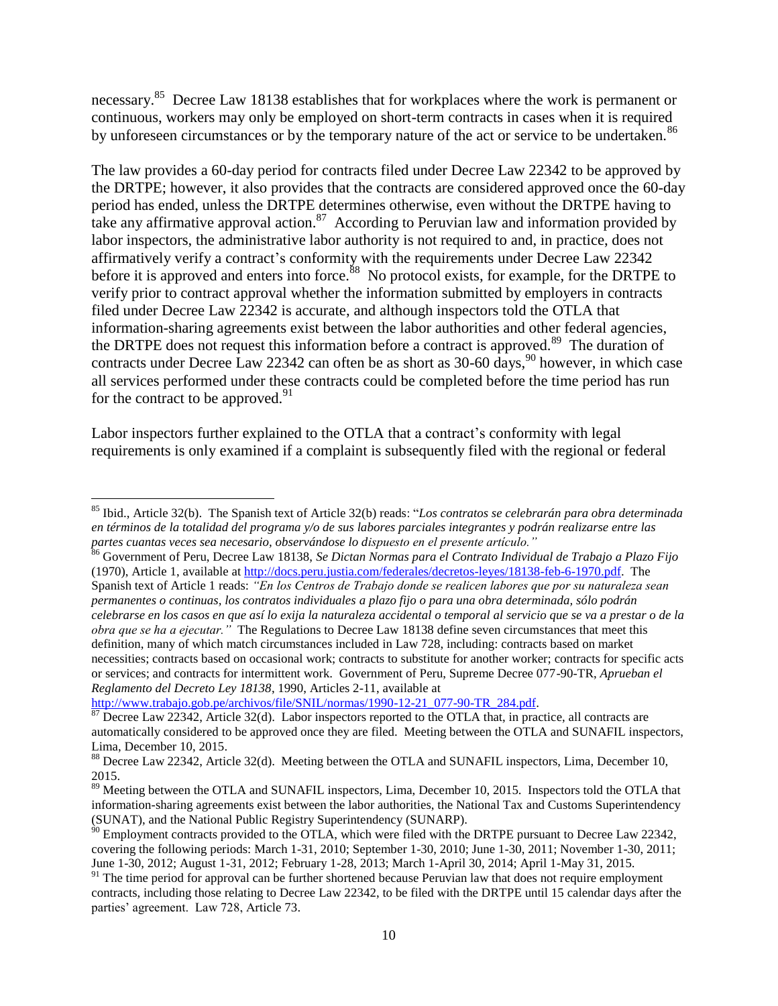necessary.<sup>85</sup> Decree Law 18138 establishes that for workplaces where the work is permanent or continuous, workers may only be employed on short-term contracts in cases when it is required by unforeseen circumstances or by the temporary nature of the act or service to be undertaken.<sup>86</sup>

The law provides a 60-day period for contracts filed under Decree Law 22342 to be approved by the DRTPE; however, it also provides that the contracts are considered approved once the 60-day period has ended, unless the DRTPE determines otherwise, even without the DRTPE having to take any affirmative approval action.<sup>87</sup> According to Peruvian law and information provided by labor inspectors, the administrative labor authority is not required to and, in practice, does not affirmatively verify a contract's conformity with the requirements under Decree Law 22342 before it is approved and enters into force.<sup>88</sup> No protocol exists, for example, for the DRTPE to verify prior to contract approval whether the information submitted by employers in contracts filed under Decree Law 22342 is accurate, and although inspectors told the OTLA that information-sharing agreements exist between the labor authorities and other federal agencies, the DRTPE does not request this information before a contract is approved.<sup>89</sup> The duration of contracts under Decree Law 22342 can often be as short as  $30-60$  days,  $90$  however, in which case all services performed under these contracts could be completed before the time period has run for the contract to be approved. $91$ 

Labor inspectors further explained to the OTLA that a contract's conformity with legal requirements is only examined if a complaint is subsequently filed with the regional or federal

<sup>86</sup> Government of Peru, Decree Law 18138, *Se Dictan Normas para el Contrato Individual de Trabajo a Plazo Fijo*  (1970), Article 1, available at [http://docs.peru.justia.com/federales/decretos-leyes/18138-feb-6-1970.pdf.](http://docs.peru.justia.com/federales/decretos-leyes/18138-feb-6-1970.pdf) The Spanish text of Article 1 reads: *"En los Centros de Trabajo donde se realicen labores que por su naturaleza sean permanentes o continuas, los contratos individuales a plazo fijo o para una obra determinada, sólo podrán celebrarse en los casos en que así lo exija la naturaleza accidental o temporal al servicio que se va a prestar o de la obra que se ha a ejecutar."* The Regulations to Decree Law 18138 define seven circumstances that meet this definition, many of which match circumstances included in Law 728, including: contracts based on market necessities; contracts based on occasional work; contracts to substitute for another worker; contracts for specific acts or services; and contracts for intermittent work. Government of Peru, Supreme Decree 077-90-TR, *Aprueban el Reglamento del Decreto Ley 18138*, 1990, Articles 2-11, available at

[http://www.trabajo.gob.pe/archivos/file/SNIL/normas/1990-12-21\\_077-90-TR\\_284.pdf.](http://www.trabajo.gob.pe/archivos/file/SNIL/normas/1990-12-21_077-90-TR_284.pdf)

<sup>85</sup> Ibid., Article 32(b). The Spanish text of Article 32(b) reads: "*Los contratos se celebrarán para obra determinada en términos de la totalidad del programa y/o de sus labores parciales integrantes y podrán realizarse entre las partes cuantas veces sea necesario, observándose lo dispuesto en el presente artículo."*

 $\overline{\text{87}}$  Decree Law 22342, Article 32(d). Labor inspectors reported to the OTLA that, in practice, all contracts are automatically considered to be approved once they are filed. Meeting between the OTLA and SUNAFIL inspectors, Lima, December 10, 2015.

<sup>&</sup>lt;sup>88</sup> Decree Law 22342, Article 32(d). Meeting between the OTLA and SUNAFIL inspectors, Lima, December 10, 2015.

<sup>&</sup>lt;sup>89</sup> Meeting between the OTLA and SUNAFIL inspectors, Lima, December 10, 2015. Inspectors told the OTLA that information-sharing agreements exist between the labor authorities, the National Tax and Customs Superintendency (SUNAT), and the National Public Registry Superintendency (SUNARP).

 $90$  Employment contracts provided to the OTLA, which were filed with the DRTPE pursuant to Decree Law 22342, covering the following periods: March 1-31, 2010; September 1-30, 2010; June 1-30, 2011; November 1-30, 2011; June 1-30, 2012; August 1-31, 2012; February 1-28, 2013; March 1-April 30, 2014; April 1-May 31, 2015.

<sup>&</sup>lt;sup>91</sup> The time period for approval can be further shortened because Peruvian law that does not require employment contracts, including those relating to Decree Law 22342, to be filed with the DRTPE until 15 calendar days after the parties' agreement. Law 728, Article 73.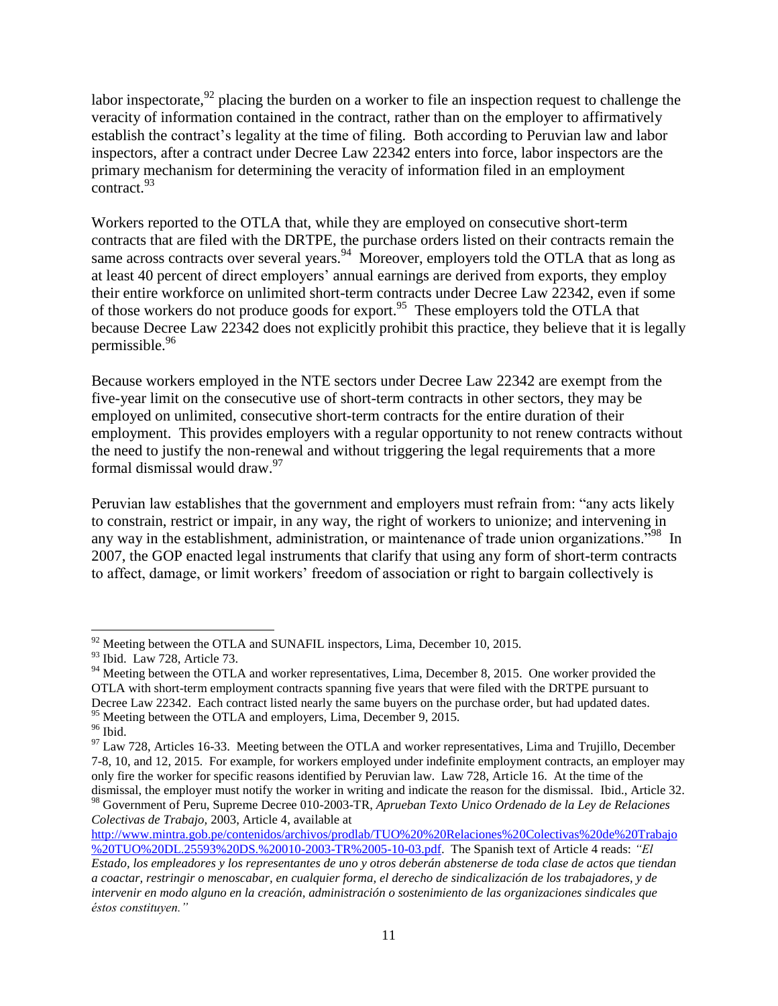labor inspectorate,  $92$  placing the burden on a worker to file an inspection request to challenge the veracity of information contained in the contract, rather than on the employer to affirmatively establish the contract's legality at the time of filing. Both according to Peruvian law and labor inspectors, after a contract under Decree Law 22342 enters into force, labor inspectors are the primary mechanism for determining the veracity of information filed in an employment  $\frac{1}{2}$ contract.<sup>93</sup>

Workers reported to the OTLA that, while they are employed on consecutive short-term contracts that are filed with the DRTPE, the purchase orders listed on their contracts remain the same across contracts over several years.  $94$  Moreover, employers told the OTLA that as long as at least 40 percent of direct employers' annual earnings are derived from exports, they employ their entire workforce on unlimited short-term contracts under Decree Law 22342, even if some of those workers do not produce goods for export.<sup>95</sup> These employers told the OTLA that because Decree Law 22342 does not explicitly prohibit this practice, they believe that it is legally permissible.<sup>96</sup>

Because workers employed in the NTE sectors under Decree Law 22342 are exempt from the five-year limit on the consecutive use of short-term contracts in other sectors, they may be employed on unlimited, consecutive short-term contracts for the entire duration of their employment. This provides employers with a regular opportunity to not renew contracts without the need to justify the non-renewal and without triggering the legal requirements that a more formal dismissal would draw. 97

Peruvian law establishes that the government and employers must refrain from: "any acts likely to constrain, restrict or impair, in any way, the right of workers to unionize; and intervening in any way in the establishment, administration, or maintenance of trade union organizations."<sup>98</sup> In 2007, the GOP enacted legal instruments that clarify that using any form of short-term contracts to affect, damage, or limit workers' freedom of association or right to bargain collectively is

[http://www.mintra.gob.pe/contenidos/archivos/prodlab/TUO%20%20Relaciones%20Colectivas%20de%20Trabajo](http://www.mintra.gob.pe/contenidos/archivos/prodlab/TUO%20%20Relaciones%20Colectivas%20de%20Trabajo%20TUO%20DL.25593%20DS.%20010-2003-TR%2005-10-03.pdf) [%20TUO%20DL.25593%20DS.%20010-2003-TR%2005-10-03.pdf.](http://www.mintra.gob.pe/contenidos/archivos/prodlab/TUO%20%20Relaciones%20Colectivas%20de%20Trabajo%20TUO%20DL.25593%20DS.%20010-2003-TR%2005-10-03.pdf) The Spanish text of Article 4 reads: *"El* 

 $\overline{\phantom{a}}$  $92$  Meeting between the OTLA and SUNAFIL inspectors, Lima, December 10, 2015.

<sup>93</sup> Ibid. Law 728, Article 73.

<sup>&</sup>lt;sup>94</sup> Meeting between the OTLA and worker representatives, Lima, December 8, 2015. One worker provided the OTLA with short-term employment contracts spanning five years that were filed with the DRTPE pursuant to Decree Law 22342. Each contract listed nearly the same buyers on the purchase order, but had updated dates. <sup>95</sup> Meeting between the OTLA and employers, Lima, December 9, 2015.

 $^{96}$  Ibid.

<sup>&</sup>lt;sup>97</sup> Law 728, Articles 16-33. Meeting between the OTLA and worker representatives, Lima and Trujillo, December 7-8, 10, and 12, 2015. For example, for workers employed under indefinite employment contracts, an employer may only fire the worker for specific reasons identified by Peruvian law. Law 728, Article 16. At the time of the dismissal, the employer must notify the worker in writing and indicate the reason for the dismissal. Ibid., Article 32.

<sup>98</sup> Government of Peru, Supreme Decree 010-2003-TR, *Aprueban Texto Unico Ordenado de la Ley de Relaciones Colectivas de Trabajo,* 2003, Article 4, available at

*Estado, los empleadores y los representantes de uno y otros deberán abstenerse de toda clase de actos que tiendan a coactar, restringir o menoscabar, en cualquier forma, el derecho de sindicalización de los trabajadores, y de intervenir en modo alguno en la creación, administración o sostenimiento de las organizaciones sindicales que éstos constituyen."*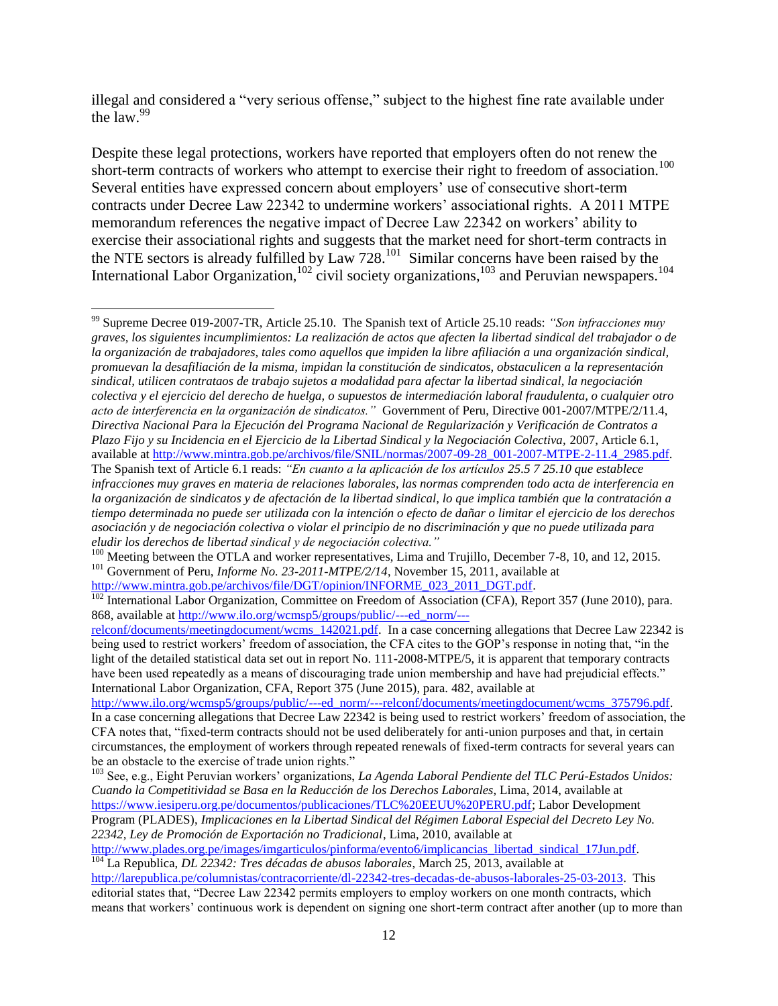illegal and considered a "very serious offense," subject to the highest fine rate available under the law.  $99$ 

Despite these legal protections, workers have reported that employers often do not renew the short-term contracts of workers who attempt to exercise their right to freedom of association.<sup>100</sup> Several entities have expressed concern about employers' use of consecutive short-term contracts under Decree Law 22342 to undermine workers' associational rights. A 2011 MTPE memorandum references the negative impact of Decree Law 22342 on workers' ability to exercise their associational rights and suggests that the market need for short-term contracts in the NTE sectors is already fulfilled by  $Law\ 728$ .<sup>101</sup> Similar concerns have been raised by the International Labor Organization,  $102$  civil society organizations,  $103$  and Peruvian newspapers.  $104$ 

<sup>99</sup> Supreme Decree 019-2007-TR, Article 25.10. The Spanish text of Article 25.10 reads: *"Son infracciones muy graves, los siguientes incumplimientos: La realización de actos que afecten la libertad sindical del trabajador o de la organización de trabajadores, tales como aquellos que impiden la libre afiliación a una organización sindical, promuevan la desafiliación de la misma, impidan la constitución de sindicatos, obstaculicen a la representación sindical, utilicen contrataos de trabajo sujetos a modalidad para afectar la libertad sindical, la negociación colectiva y el ejercicio del derecho de huelga, o supuestos de intermediación laboral fraudulenta, o cualquier otro acto de interferencia en la organización de sindicatos."* Government of Peru, Directive 001-2007/MTPE/2/11.4, *Directiva Nacional Para la Ejecución del Programa Nacional de Regularización y Verificación de Contratos a Plazo Fijo y su Incidencia en el Ejercicio de la Libertad Sindical y la Negociación Colectiva,* 2007, Article 6.1, available at [http://www.mintra.gob.pe/archivos/file/SNIL/normas/2007-09-28\\_001-2007-MTPE-2-11.4\\_2985.pdf.](http://www.mintra.gob.pe/archivos/file/SNIL/normas/2007-09-28_001-2007-MTPE-2-11.4_2985.pdf) The Spanish text of Article 6.1 reads: *"En cuanto a la aplicación de los artículos 25.5 7 25.10 que establece infracciones muy graves en materia de relaciones laborales, las normas comprenden todo acta de interferencia en la organización de sindicatos y de afectación de la libertad sindical, lo que implica también que la contratación a tiempo determinada no puede ser utilizada con la intención o efecto de dañar o limitar el ejercicio de los derechos asociación y de negociación colectiva o violar el principio de no discriminación y que no puede utilizada para eludir los derechos de libertad sindical y de negociación colectiva."*

<sup>&</sup>lt;sup>100</sup> Meeting between the OTLA and worker representatives, Lima and Trujillo, December 7-8, 10, and 12, 2015. <sup>101</sup> Government of Peru, *Informe No. 23-2011-MTPE/2/14*, November 15, 2011, available at

[http://www.mintra.gob.pe/archivos/file/DGT/opinion/INFORME\\_023\\_2011\\_DGT.pdf.](http://www.mintra.gob.pe/archivos/file/DGT/opinion/INFORME_023_2011_DGT.pdf)

<sup>&</sup>lt;sup>102</sup> International Labor Organization, Committee on Freedom of Association (CFA), Report 357 (June 2010), para. 868, available at [http://www.ilo.org/wcmsp5/groups/public/---ed\\_norm/---](http://www.ilo.org/wcmsp5/groups/public/---ed_norm/---relconf/documents/meetingdocument/wcms_142021.pdf)

[relconf/documents/meetingdocument/wcms\\_142021.pdf.](http://www.ilo.org/wcmsp5/groups/public/---ed_norm/---relconf/documents/meetingdocument/wcms_142021.pdf) In a case concerning allegations that Decree Law 22342 is being used to restrict workers' freedom of association, the CFA cites to the GOP's response in noting that, "in the light of the detailed statistical data set out in report No. 111-2008-MTPE/5, it is apparent that temporary contracts have been used repeatedly as a means of discouraging trade union membership and have had prejudicial effects." International Labor Organization, CFA, Report 375 (June 2015), para. 482, available at

[http://www.ilo.org/wcmsp5/groups/public/---ed\\_norm/---relconf/documents/meetingdocument/wcms\\_375796.pdf.](http://www.ilo.org/wcmsp5/groups/public/---ed_norm/---relconf/documents/meetingdocument/wcms_375796.pdf) In a case concerning allegations that Decree Law 22342 is being used to restrict workers' freedom of association, the CFA notes that, "fixed-term contracts should not be used deliberately for anti-union purposes and that, in certain circumstances, the employment of workers through repeated renewals of fixed-term contracts for several years can be an obstacle to the exercise of trade union rights."

<sup>103</sup> See, e.g., Eight Peruvian workers' organizations, *La Agenda Laboral Pendiente del TLC Perú-Estados Unidos: Cuando la Competitividad se Basa en la Reducción de los Derechos Laborales*, Lima, 2014, available at [https://www.iesiperu.org.pe/documentos/publicaciones/TLC%20EEUU%20PERU.pdf;](https://www.iesiperu.org.pe/documentos/publicaciones/TLC%20EEUU%20PERU.pdf) Labor Development Program (PLADES), *Implicaciones en la Libertad Sindical del Régimen Laboral Especial del Decreto Ley No. 22342, Ley de Promoción de Exportación no Tradicional*, Lima, 2010, available at

[http://www.plades.org.pe/images/imgarticulos/pinforma/evento6/implicancias\\_libertad\\_sindical\\_17Jun.pdf.](http://www.plades.org.pe/images/imgarticulos/pinforma/evento6/implicancias_libertad_sindical_17Jun.pdf) <sup>104</sup> La Republica, *DL 22342: Tres décadas de abusos laborales*, March 25, 2013, available at

[http://larepublica.pe/columnistas/contracorriente/dl-22342-tres-decadas-de-abusos-laborales-25-03-2013.](http://larepublica.pe/columnistas/contracorriente/dl-22342-tres-decadas-de-abusos-laborales-25-03-2013) This editorial states that, "Decree Law 22342 permits employers to employ workers on one month contracts, which means that workers' continuous work is dependent on signing one short-term contract after another (up to more than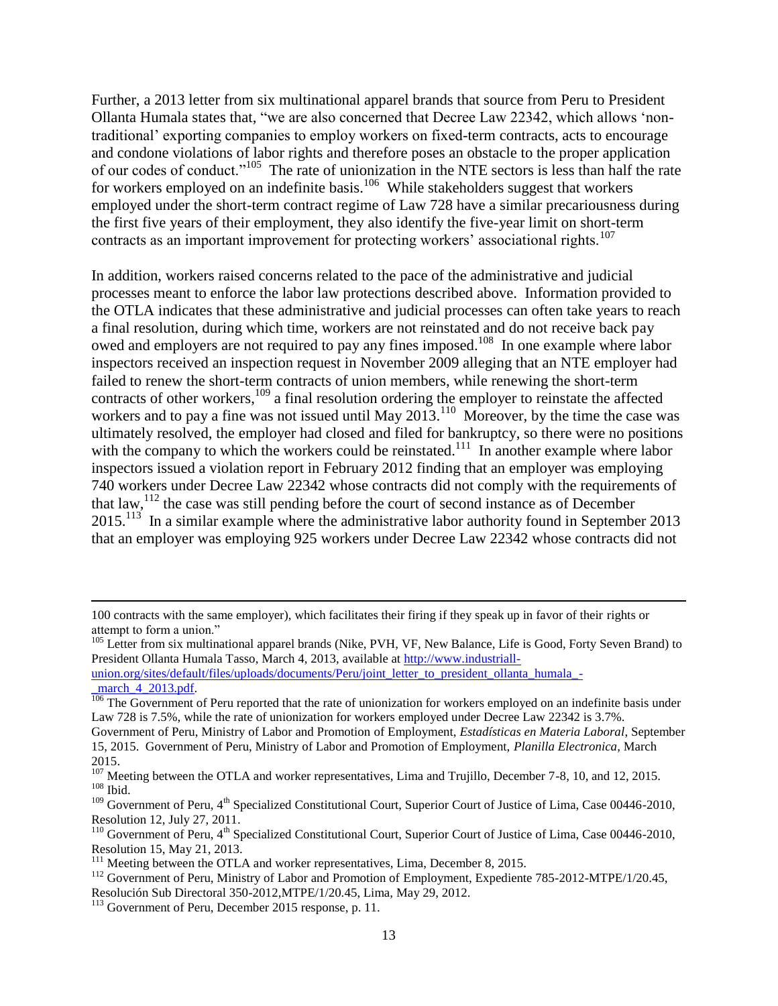Further, a 2013 letter from six multinational apparel brands that source from Peru to President Ollanta Humala states that, "we are also concerned that Decree Law 22342, which allows 'nontraditional' exporting companies to employ workers on fixed-term contracts, acts to encourage and condone violations of labor rights and therefore poses an obstacle to the proper application of our codes of conduct."<sup>105</sup> The rate of unionization in the NTE sectors is less than half the rate for workers employed on an indefinite basis.<sup>106</sup> While stakeholders suggest that workers employed under the short-term contract regime of Law 728 have a similar precariousness during the first five years of their employment, they also identify the five-year limit on short-term contracts as an important improvement for protecting workers' associational rights.<sup>107</sup>

In addition, workers raised concerns related to the pace of the administrative and judicial processes meant to enforce the labor law protections described above. Information provided to the OTLA indicates that these administrative and judicial processes can often take years to reach a final resolution, during which time, workers are not reinstated and do not receive back pay owed and employers are not required to pay any fines imposed.<sup>108</sup> In one example where labor inspectors received an inspection request in November 2009 alleging that an NTE employer had failed to renew the short-term contracts of union members, while renewing the short-term contracts of other workers, $109$  a final resolution ordering the employer to reinstate the affected workers and to pay a fine was not issued until May  $2013$ .<sup>110</sup> Moreover, by the time the case was ultimately resolved, the employer had closed and filed for bankruptcy, so there were no positions with the company to which the workers could be reinstated.<sup>111</sup> In another example where labor inspectors issued a violation report in February 2012 finding that an employer was employing 740 workers under Decree Law 22342 whose contracts did not comply with the requirements of that law,  $112$  the case was still pending before the court of second instance as of December 2015.<sup>113</sup> In a similar example where the administrative labor authority found in September 2013 that an employer was employing 925 workers under Decree Law 22342 whose contracts did not

l

<sup>100</sup> contracts with the same employer), which facilitates their firing if they speak up in favor of their rights or attempt to form a union."

<sup>&</sup>lt;sup>105</sup> Letter from six multinational apparel brands (Nike, PVH, VF, New Balance, Life is Good, Forty Seven Brand) to President Ollanta Humala Tasso, March 4, 2013, available at [http://www.industriall-](http://www.industriall-union.org/sites/default/files/uploads/documents/Peru/joint_letter_to_president_ollanta_humala_-_march_4_2013.pdf)

[union.org/sites/default/files/uploads/documents/Peru/joint\\_letter\\_to\\_president\\_ollanta\\_humala\\_](http://www.industriall-union.org/sites/default/files/uploads/documents/Peru/joint_letter_to_president_ollanta_humala_-_march_4_2013.pdf) march 4 2013.pdf.

<sup>&</sup>lt;sup>106</sup> The Government of Peru reported that the rate of unionization for workers employed on an indefinite basis under Law 728 is 7.5%, while the rate of unionization for workers employed under Decree Law 22342 is 3.7%.

Government of Peru, Ministry of Labor and Promotion of Employment, *Estadísticas en Materia Laboral*, September 15, 2015. Government of Peru, Ministry of Labor and Promotion of Employment, *Planilla Electronica*, March 2015.

<sup>&</sup>lt;sup>107</sup> Meeting between the OTLA and worker representatives, Lima and Trujillo, December 7-8, 10, and 12, 2015.  $108$  Ibid.

 $109$  Government of Peru,  $4<sup>th</sup>$  Specialized Constitutional Court, Superior Court of Justice of Lima, Case 00446-2010, Resolution 12, July 27, 2011.

<sup>&</sup>lt;sup>110</sup> Government of Peru, 4<sup>th</sup> Specialized Constitutional Court, Superior Court of Justice of Lima, Case 00446-2010, Resolution 15, May 21, 2013.

<sup>&</sup>lt;sup>111</sup> Meeting between the OTLA and worker representatives, Lima, December 8, 2015.

<sup>&</sup>lt;sup>112</sup> Government of Peru, Ministry of Labor and Promotion of Employment, Expediente 785-2012-MTPE/1/20.45, Resolución Sub Directoral 350-2012,MTPE/1/20.45, Lima, May 29, 2012.

<sup>&</sup>lt;sup>113</sup> Government of Peru, December 2015 response, p. 11.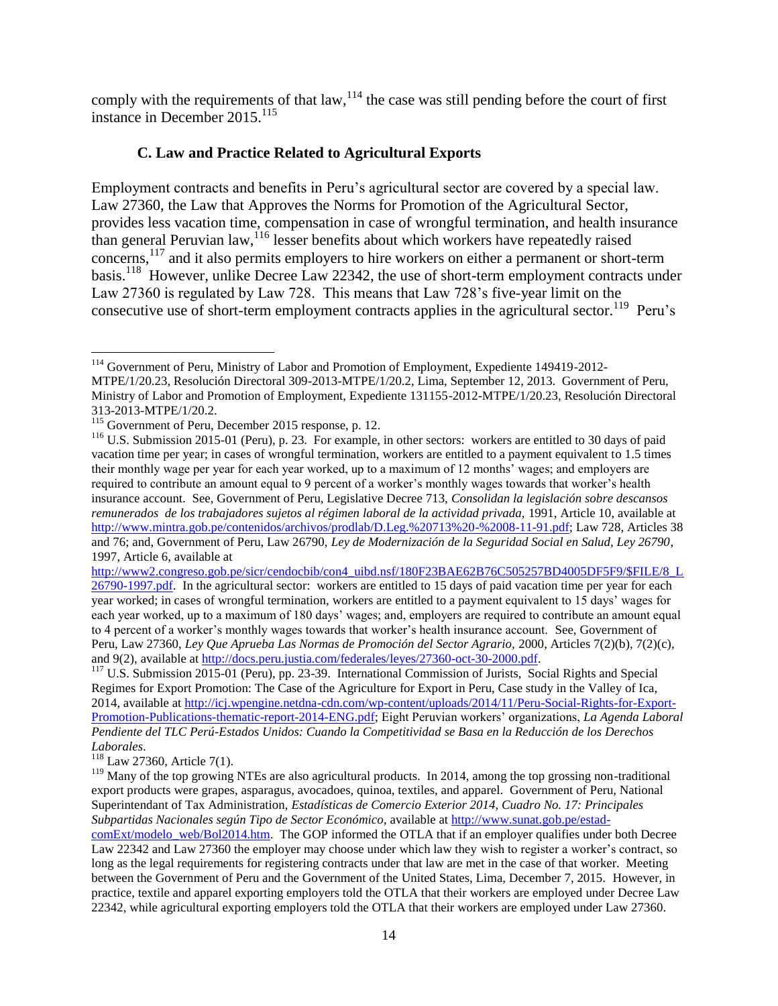comply with the requirements of that  $law<sub>114</sub>$ , the case was still pending before the court of first instance in December 2015.<sup>115</sup>

## **C. Law and Practice Related to Agricultural Exports**

Employment contracts and benefits in Peru's agricultural sector are covered by a special law. Law 27360, the Law that Approves the Norms for Promotion of the Agricultural Sector, provides less vacation time, compensation in case of wrongful termination, and health insurance than general Peruvian law,  $116$  lesser benefits about which workers have repeatedly raised concerns,<sup>117</sup> and it also permits employers to hire workers on either a permanent or short-term basis.<sup>118</sup> However, unlike Decree Law 22342, the use of short-term employment contracts under Law 27360 is regulated by Law 728. This means that Law 728's five-year limit on the consecutive use of short-term employment contracts applies in the agricultural sector.<sup>119</sup> Peru's

[http://www2.congreso.gob.pe/sicr/cendocbib/con4\\_uibd.nsf/180F23BAE62B76C505257BD4005DF5F9/\\$FILE/8\\_L](http://www2.congreso.gob.pe/sicr/cendocbib/con4_uibd.nsf/180F23BAE62B76C505257BD4005DF5F9/$FILE/8_L26790-1997.pdf) [26790-1997.pdf.](http://www2.congreso.gob.pe/sicr/cendocbib/con4_uibd.nsf/180F23BAE62B76C505257BD4005DF5F9/$FILE/8_L26790-1997.pdf) In the agricultural sector: workers are entitled to 15 days of paid vacation time per year for each year worked; in cases of wrongful termination, workers are entitled to a payment equivalent to 15 days' wages for each year worked, up to a maximum of 180 days' wages; and, employers are required to contribute an amount equal to 4 percent of a worker's monthly wages towards that worker's health insurance account. See, Government of Peru, Law 27360, *Ley Que Aprueba Las Normas de Promoción del Sector Agrario,* 2000, Articles 7(2)(b), 7(2)(c), and 9(2), available at [http://docs.peru.justia.com/federales/leyes/27360-oct-30-2000.pdf.](http://docs.peru.justia.com/federales/leyes/27360-oct-30-2000.pdf) 

<sup>117</sup> U.S. Submission 2015-01 (Peru), pp. 23-39. International Commission of Jurists, Social Rights and Special Regimes for Export Promotion: The Case of the Agriculture for Export in Peru, Case study in the Valley of Ica, 2014, available at [http://icj.wpengine.netdna-cdn.com/wp-content/uploads/2014/11/Peru-Social-Rights-for-Export-](http://icj.wpengine.netdna-cdn.com/wp-content/uploads/2014/11/Peru-Social-Rights-for-Export-Promotion-Publications-thematic-report-2014-ENG.pdf)[Promotion-Publications-thematic-report-2014-ENG.pdf;](http://icj.wpengine.netdna-cdn.com/wp-content/uploads/2014/11/Peru-Social-Rights-for-Export-Promotion-Publications-thematic-report-2014-ENG.pdf) Eight Peruvian workers' organizations, *La Agenda Laboral Pendiente del TLC Perú-Estados Unidos: Cuando la Competitividad se Basa en la Reducción de los Derechos Laborales*.

 $118$  Law 27360, Article 7(1).

 $\overline{a}$ <sup>114</sup> Government of Peru, Ministry of Labor and Promotion of Employment, Expediente 149419-2012-MTPE/1/20.23, Resolución Directoral 309-2013-MTPE/1/20.2, Lima, September 12, 2013. Government of Peru, Ministry of Labor and Promotion of Employment, Expediente 131155-2012-MTPE/1/20.23, Resolución Directoral 313-2013-MTPE/1/20.2.

<sup>&</sup>lt;sup>115</sup> Government of Peru, December 2015 response, p. 12.

<sup>&</sup>lt;sup>116</sup> U.S. Submission 2015-01 (Peru), p. 23. For example, in other sectors: workers are entitled to 30 days of paid vacation time per year; in cases of wrongful termination, workers are entitled to a payment equivalent to 1.5 times their monthly wage per year for each year worked, up to a maximum of 12 months' wages; and employers are required to contribute an amount equal to 9 percent of a worker's monthly wages towards that worker's health insurance account. See, Government of Peru, Legislative Decree 713, *Consolidan la legislación sobre descansos remunerados de los trabajadores sujetos al régimen laboral de la actividad privada,* 1991, Article 10, available at [http://www.mintra.gob.pe/contenidos/archivos/prodlab/D.Leg.%20713%20-%2008-11-91.pdf;](http://www.mintra.gob.pe/contenidos/archivos/prodlab/D.Leg.%20713%20-%2008-11-91.pdf) Law 728, Articles 38 and 76; and, Government of Peru, Law 26790, *Ley de Modernización de la Seguridad Social en Salud, Ley 26790*, 1997, Article 6, available at

<sup>&</sup>lt;sup>119</sup> Many of the top growing NTEs are also agricultural products. In 2014, among the top grossing non-traditional export products were grapes, asparagus, avocadoes, quinoa, textiles, and apparel. Government of Peru, National Superintendant of Tax Administration, *Estadísticas de Comercio Exterior 2014, Cuadro No. 17: Principales Subpartidas Nacionales según Tipo de Sector Económico*, available at [http://www.sunat.gob.pe/estad-](http://www.sunat.gob.pe/estad-comExt/modelo_web/Bol2014.htm)

[comExt/modelo\\_web/Bol2014.htm.](http://www.sunat.gob.pe/estad-comExt/modelo_web/Bol2014.htm) The GOP informed the OTLA that if an employer qualifies under both Decree Law 22342 and Law 27360 the employer may choose under which law they wish to register a worker's contract, so long as the legal requirements for registering contracts under that law are met in the case of that worker. Meeting between the Government of Peru and the Government of the United States, Lima, December 7, 2015. However, in practice, textile and apparel exporting employers told the OTLA that their workers are employed under Decree Law 22342, while agricultural exporting employers told the OTLA that their workers are employed under Law 27360.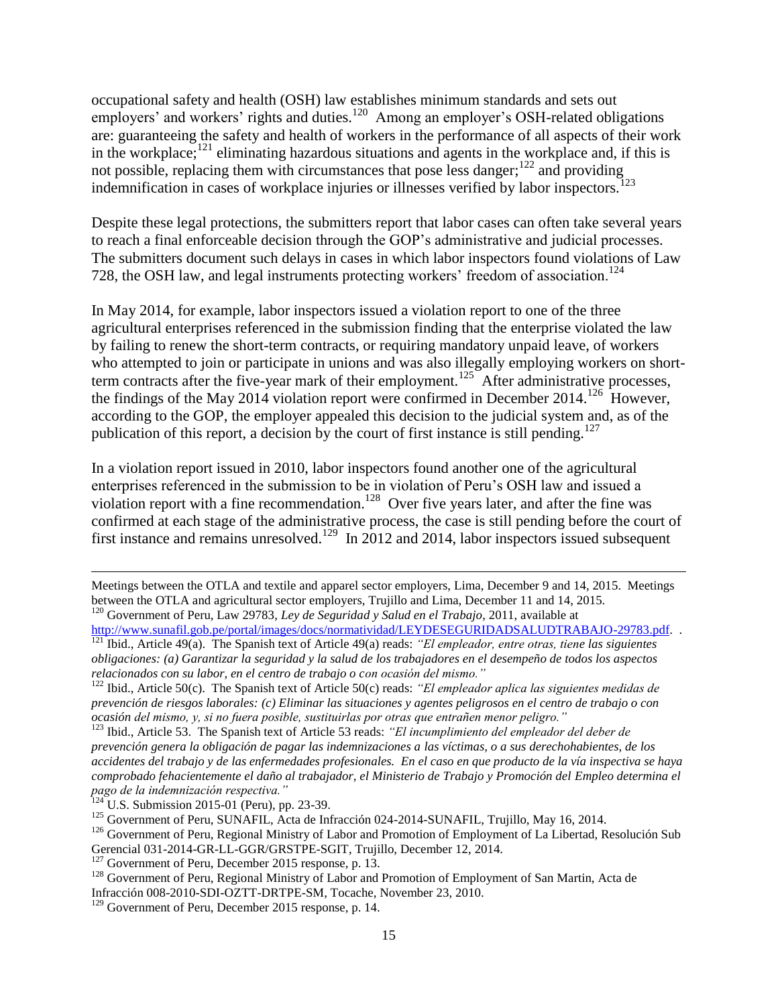occupational safety and health (OSH) law establishes minimum standards and sets out employers' and workers' rights and duties.<sup>120</sup> Among an employer's OSH-related obligations are: guaranteeing the safety and health of workers in the performance of all aspects of their work in the workplace; $121$  eliminating hazardous situations and agents in the workplace and, if this is not possible, replacing them with circumstances that pose less danger; $122$  and providing indemnification in cases of workplace injuries or illnesses verified by labor inspectors.<sup>123</sup>

Despite these legal protections, the submitters report that labor cases can often take several years to reach a final enforceable decision through the GOP's administrative and judicial processes. The submitters document such delays in cases in which labor inspectors found violations of Law 728, the OSH law, and legal instruments protecting workers' freedom of association.<sup>124</sup>

In May 2014, for example, labor inspectors issued a violation report to one of the three agricultural enterprises referenced in the submission finding that the enterprise violated the law by failing to renew the short-term contracts, or requiring mandatory unpaid leave, of workers who attempted to join or participate in unions and was also illegally employing workers on shortterm contracts after the five-year mark of their employment.<sup>125</sup> After administrative processes, the findings of the May 2014 violation report were confirmed in December 2014.<sup>126</sup> However, according to the GOP, the employer appealed this decision to the judicial system and, as of the publication of this report, a decision by the court of first instance is still pending.<sup>127</sup>

In a violation report issued in 2010, labor inspectors found another one of the agricultural enterprises referenced in the submission to be in violation of Peru's OSH law and issued a violation report with a fine recommendation.<sup>128</sup> Over five years later, and after the fine was confirmed at each stage of the administrative process, the case is still pending before the court of first instance and remains unresolved.<sup>129</sup> In 2012 and 2014, labor inspectors issued subsequent

Meetings between the OTLA and textile and apparel sector employers, Lima, December 9 and 14, 2015. Meetings between the OTLA and agricultural sector employers, Trujillo and Lima, December 11 and 14, 2015. <sup>120</sup> Government of Peru, Law 29783, *Ley de Seguridad y Salud en el Trabajo*, 2011, available at

[http://www.sunafil.gob.pe/portal/images/docs/normatividad/LEYDESEGURIDADSALUDTRABAJO-29783.pdf.](http://www.sunafil.gob.pe/portal/images/docs/normatividad/LEYDESEGURIDADSALUDTRABAJO-29783.pdf) .

<sup>121</sup> Ibid., Article 49(a). The Spanish text of Article 49(a) reads: *"El empleador, entre otras, tiene las siguientes obligaciones: (a) Garantizar la seguridad y la salud de los trabajadores en el desempeño de todos los aspectos relacionados con su labor, en el centro de trabajo o con ocasión del mismo."*

<sup>122</sup> Ibid., Article 50(c). The Spanish text of Article 50(c) reads: *"El empleador aplica las siguientes medidas de prevención de riesgos laborales: (c) Eliminar las situaciones y agentes peligrosos en el centro de trabajo o con ocasión del mismo, y, si no fuera posible, sustituirlas por otras que entrañen menor peligro."*

<sup>123</sup> Ibid., Article 53. The Spanish text of Article 53 reads: *"El incumplimiento del empleador del deber de prevención genera la obligación de pagar las indemnizaciones a las víctimas, o a sus derechohabientes, de los accidentes del trabajo y de las enfermedades profesionales. En el caso en que producto de la vía inspectiva se haya comprobado fehacientemente el daño al trabajador, el Ministerio de Trabajo y Promoción del Empleo determina el pago de la indemnización respectiva."* 

 $124$  U.S. Submission 2015-01 (Peru), pp. 23-39.

<sup>&</sup>lt;sup>125</sup> Government of Peru, SUNAFIL, Acta de Infracción 024-2014-SUNAFIL, Trujillo, May 16, 2014.

<sup>&</sup>lt;sup>126</sup> Government of Peru, Regional Ministry of Labor and Promotion of Employment of La Libertad, Resolución Sub Gerencial 031-2014-GR-LL-GGR/GRSTPE-SGIT, Trujillo, December 12, 2014.

<sup>&</sup>lt;sup>127</sup> Government of Peru, December 2015 response, p. 13.

<sup>&</sup>lt;sup>128</sup> Government of Peru, Regional Ministry of Labor and Promotion of Employment of San Martin, Acta de Infracción 008-2010-SDI-OZTT-DRTPE-SM, Tocache, November 23, 2010.

 $129$  Government of Peru, December 2015 response, p. 14.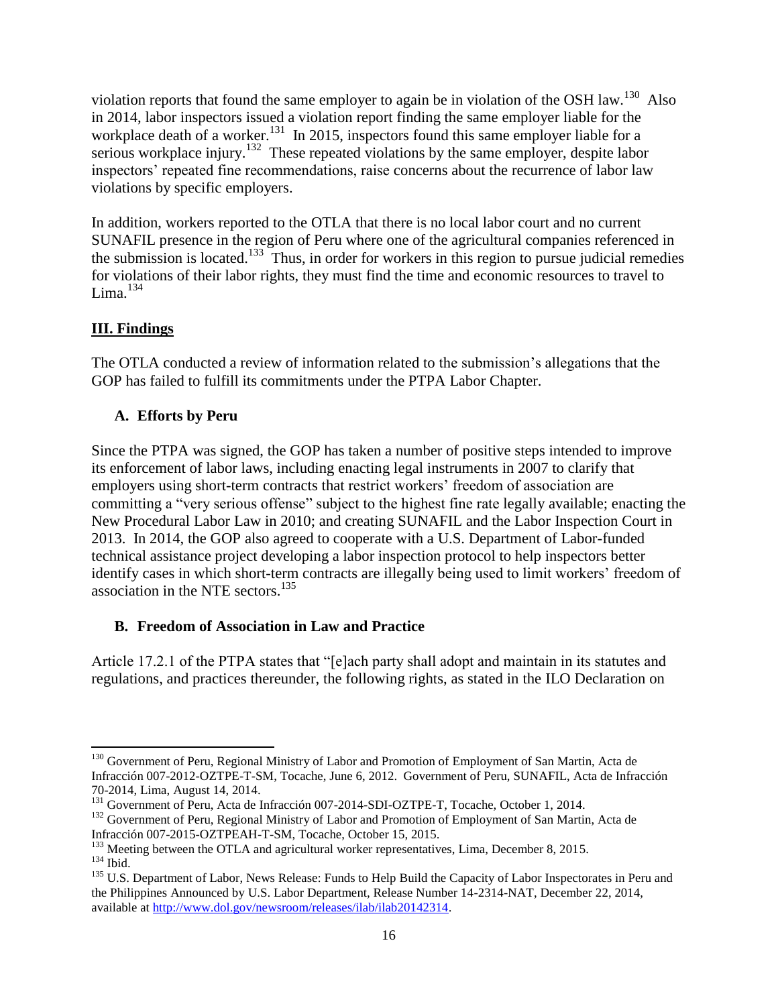violation reports that found the same employer to again be in violation of the OSH law.<sup>130</sup> Also in 2014, labor inspectors issued a violation report finding the same employer liable for the workplace death of a worker.<sup>131</sup> In 2015, inspectors found this same employer liable for a serious workplace injury.<sup>132</sup> These repeated violations by the same employer, despite labor inspectors' repeated fine recommendations, raise concerns about the recurrence of labor law violations by specific employers.

In addition, workers reported to the OTLA that there is no local labor court and no current SUNAFIL presence in the region of Peru where one of the agricultural companies referenced in the submission is located.<sup>133</sup> Thus, in order for workers in this region to pursue judicial remedies for violations of their labor rights, they must find the time and economic resources to travel to Lima. $^{134}$ 

# **III. Findings**

The OTLA conducted a review of information related to the submission's allegations that the GOP has failed to fulfill its commitments under the PTPA Labor Chapter.

# **A. Efforts by Peru**

Since the PTPA was signed, the GOP has taken a number of positive steps intended to improve its enforcement of labor laws, including enacting legal instruments in 2007 to clarify that employers using short-term contracts that restrict workers' freedom of association are committing a "very serious offense" subject to the highest fine rate legally available; enacting the New Procedural Labor Law in 2010; and creating SUNAFIL and the Labor Inspection Court in 2013. In 2014, the GOP also agreed to cooperate with a U.S. Department of Labor-funded technical assistance project developing a labor inspection protocol to help inspectors better identify cases in which short-term contracts are illegally being used to limit workers' freedom of association in the NTE sectors. 135

# **B. Freedom of Association in Law and Practice**

Article 17.2.1 of the PTPA states that "[e]ach party shall adopt and maintain in its statutes and regulations, and practices thereunder, the following rights, as stated in the ILO Declaration on

 $\overline{a}$ <sup>130</sup> Government of Peru, Regional Ministry of Labor and Promotion of Employment of San Martin, Acta de Infracción 007-2012-OZTPE-T-SM, Tocache, June 6, 2012. Government of Peru, SUNAFIL, Acta de Infracción 70-2014, Lima, August 14, 2014.

<sup>&</sup>lt;sup>131</sup> Government of Peru, Acta de Infracción 007-2014-SDI-OZTPE-T, Tocache, October 1, 2014.

<sup>&</sup>lt;sup>132</sup> Government of Peru, Regional Ministry of Labor and Promotion of Employment of San Martin, Acta de Infracción 007-2015-OZTPEAH-T-SM, Tocache, October 15, 2015.

 $133$  Meeting between the OTLA and agricultural worker representatives, Lima, December 8, 2015.

<sup>134</sup> Ibid.

<sup>&</sup>lt;sup>135</sup> U.S. Department of Labor, News Release: Funds to Help Build the Capacity of Labor Inspectorates in Peru and the Philippines Announced by U.S. Labor Department, Release Number 14-2314-NAT, December 22, 2014, available at [http://www.dol.gov/newsroom/releases/ilab/ilab20142314.](http://www.dol.gov/newsroom/releases/ilab/ilab20142314)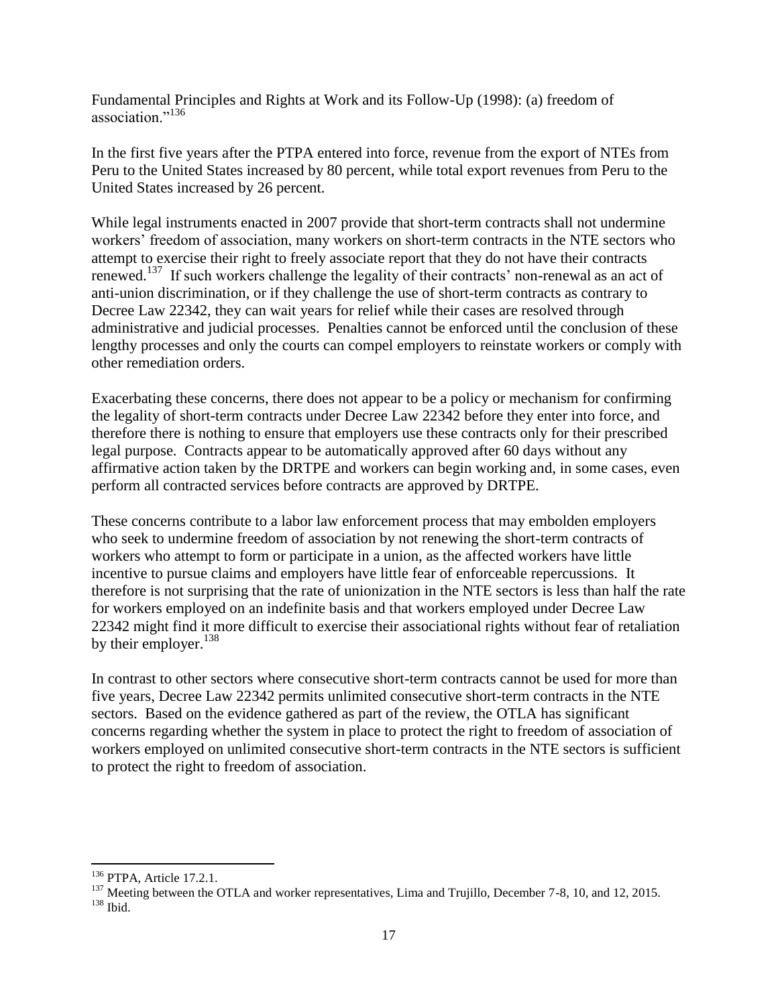Fundamental Principles and Rights at Work and its Follow-Up (1998): (a) freedom of association."<sup>136</sup>

In the first five years after the PTPA entered into force, revenue from the export of NTEs from Peru to the United States increased by 80 percent, while total export revenues from Peru to the United States increased by 26 percent.

While legal instruments enacted in 2007 provide that short-term contracts shall not undermine workers' freedom of association, many workers on short-term contracts in the NTE sectors who attempt to exercise their right to freely associate report that they do not have their contracts renewed.<sup>137</sup> If such workers challenge the legality of their contracts' non-renewal as an act of anti-union discrimination, or if they challenge the use of short-term contracts as contrary to Decree Law 22342, they can wait years for relief while their cases are resolved through administrative and judicial processes. Penalties cannot be enforced until the conclusion of these lengthy processes and only the courts can compel employers to reinstate workers or comply with other remediation orders.

Exacerbating these concerns, there does not appear to be a policy or mechanism for confirming the legality of short-term contracts under Decree Law 22342 before they enter into force, and therefore there is nothing to ensure that employers use these contracts only for their prescribed legal purpose. Contracts appear to be automatically approved after 60 days without any affirmative action taken by the DRTPE and workers can begin working and, in some cases, even perform all contracted services before contracts are approved by DRTPE.

These concerns contribute to a labor law enforcement process that may embolden employers who seek to undermine freedom of association by not renewing the short-term contracts of workers who attempt to form or participate in a union, as the affected workers have little incentive to pursue claims and employers have little fear of enforceable repercussions. It therefore is not surprising that the rate of unionization in the NTE sectors is less than half the rate for workers employed on an indefinite basis and that workers employed under Decree Law 22342 might find it more difficult to exercise their associational rights without fear of retaliation by their employer.<sup>138</sup>

In contrast to other sectors where consecutive short-term contracts cannot be used for more than five years, Decree Law 22342 permits unlimited consecutive short-term contracts in the NTE sectors. Based on the evidence gathered as part of the review, the OTLA has significant concerns regarding whether the system in place to protect the right to freedom of association of workers employed on unlimited consecutive short-term contracts in the NTE sectors is sufficient to protect the right to freedom of association.

<sup>&</sup>lt;sup>136</sup> PTPA, Article 17.2.1.

<sup>&</sup>lt;sup>137</sup> Meeting between the OTLA and worker representatives, Lima and Trujillo, December 7-8, 10, and 12, 2015. <sup>138</sup> Ibid.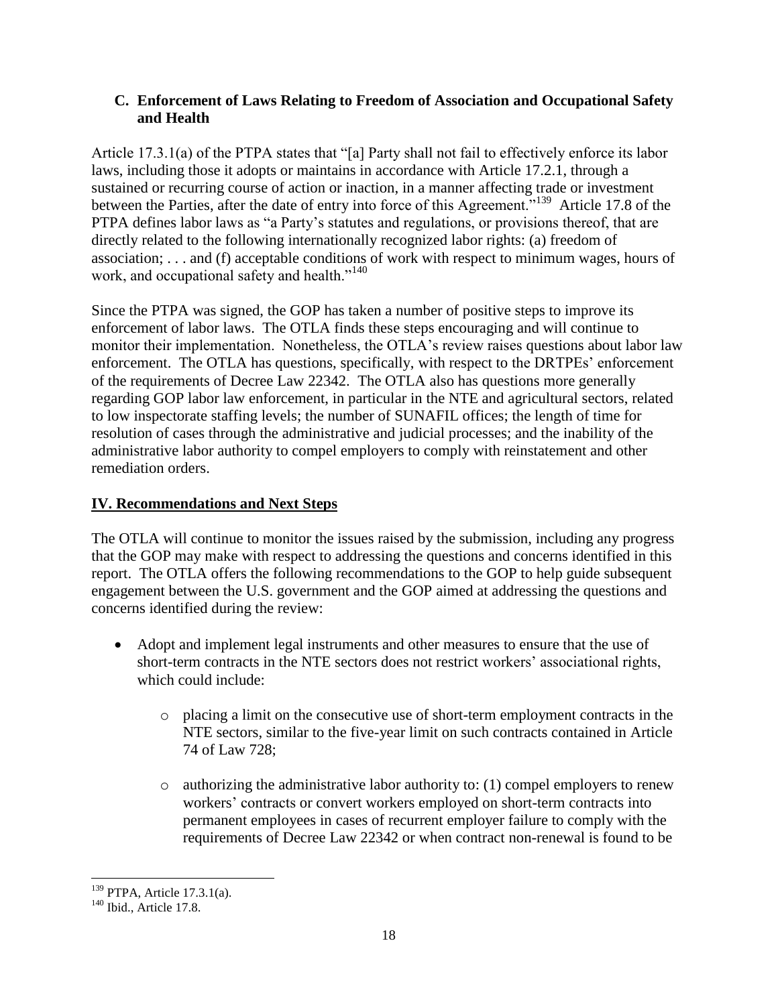# **C. Enforcement of Laws Relating to Freedom of Association and Occupational Safety and Health**

Article 17.3.1(a) of the PTPA states that "[a] Party shall not fail to effectively enforce its labor laws, including those it adopts or maintains in accordance with Article 17.2.1, through a sustained or recurring course of action or inaction, in a manner affecting trade or investment between the Parties, after the date of entry into force of this Agreement."<sup>139</sup> Article 17.8 of the PTPA defines labor laws as "a Party's statutes and regulations, or provisions thereof, that are directly related to the following internationally recognized labor rights: (a) freedom of association; . . . and (f) acceptable conditions of work with respect to minimum wages, hours of work, and occupational safety and health."<sup>140</sup>

Since the PTPA was signed, the GOP has taken a number of positive steps to improve its enforcement of labor laws. The OTLA finds these steps encouraging and will continue to monitor their implementation. Nonetheless, the OTLA's review raises questions about labor law enforcement. The OTLA has questions, specifically, with respect to the DRTPEs' enforcement of the requirements of Decree Law 22342. The OTLA also has questions more generally regarding GOP labor law enforcement, in particular in the NTE and agricultural sectors, related to low inspectorate staffing levels; the number of SUNAFIL offices; the length of time for resolution of cases through the administrative and judicial processes; and the inability of the administrative labor authority to compel employers to comply with reinstatement and other remediation orders.

# **IV. Recommendations and Next Steps**

The OTLA will continue to monitor the issues raised by the submission, including any progress that the GOP may make with respect to addressing the questions and concerns identified in this report. The OTLA offers the following recommendations to the GOP to help guide subsequent engagement between the U.S. government and the GOP aimed at addressing the questions and concerns identified during the review:

- Adopt and implement legal instruments and other measures to ensure that the use of short-term contracts in the NTE sectors does not restrict workers' associational rights, which could include:
	- o placing a limit on the consecutive use of short-term employment contracts in the NTE sectors, similar to the five-year limit on such contracts contained in Article 74 of Law 728;
	- $\circ$  authorizing the administrative labor authority to: (1) compel employers to renew workers' contracts or convert workers employed on short-term contracts into permanent employees in cases of recurrent employer failure to comply with the requirements of Decree Law 22342 or when contract non-renewal is found to be

 $139$  PTPA, Article 17.3.1(a).

 $140$  Ibid., Article 17.8.